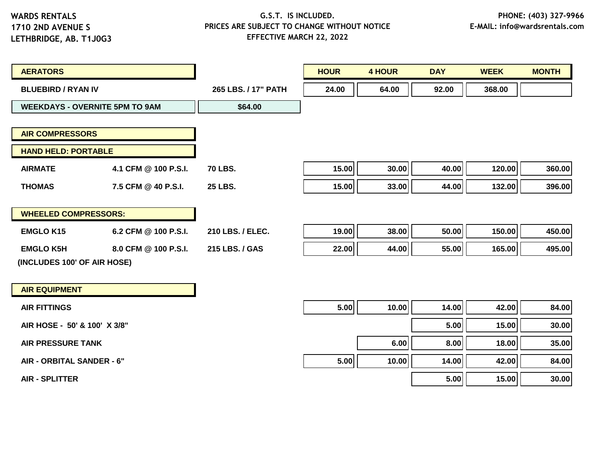### **G.S.T. IS INCLUDED. PRICES ARE SUBJECT TO CHANGE WITHOUT NOTICE EFFECTIVE MARCH 22, 2022**

| <b>AERATORS</b>                       |                      |                     | <b>HOUR</b> | <b>4 HOUR</b> | <b>DAY</b> | <b>WEEK</b> | <b>MONTH</b> |
|---------------------------------------|----------------------|---------------------|-------------|---------------|------------|-------------|--------------|
| <b>BLUEBIRD / RYAN IV</b>             |                      | 265 LBS. / 17" PATH | 24.00       | 64.00         | 92.00      | 368.00      |              |
| <b>WEEKDAYS - OVERNITE 5PM TO 9AM</b> |                      | \$64.00             |             |               |            |             |              |
|                                       |                      |                     |             |               |            |             |              |
| <b>AIR COMPRESSORS</b>                |                      |                     |             |               |            |             |              |
| <b>HAND HELD: PORTABLE</b>            |                      |                     |             |               |            |             |              |
| <b>AIRMATE</b>                        | 4.1 CFM @ 100 P.S.I. | <b>70 LBS.</b>      | 15.00       | 30.00         | 40.00      | 120.00      | 360.00       |
| <b>THOMAS</b>                         | 7.5 CFM @ 40 P.S.I.  | <b>25 LBS.</b>      | 15.00       | 33.00         | 44.00      | 132.00      | 396.00       |
| <b>WHEELED COMPRESSORS:</b>           |                      |                     |             |               |            |             |              |
| <b>EMGLO K15</b>                      | 6.2 CFM @ 100 P.S.I. | 210 LBS. / ELEC.    | 19.00       | 38.00         | 50.00      | 150.00      | 450.00       |
| <b>EMGLO K5H</b>                      | 8.0 CFM @ 100 P.S.I. | 215 LBS. / GAS      | 22.00       | 44.00         | 55.00      | 165.00      | 495.00       |
| (INCLUDES 100' OF AIR HOSE)           |                      |                     |             |               |            |             |              |
|                                       |                      |                     |             |               |            |             |              |
| <b>AIR EQUIPMENT</b>                  |                      |                     |             |               |            |             |              |

| <b>AIR FITTINGS</b>          | 5.00 | 10.00 | 14.00 | 42.00 | 84.00 |
|------------------------------|------|-------|-------|-------|-------|
| AIR HOSE - 50' & 100' X 3/8" |      |       | 5.00  | 15.00 | 30.00 |
| <b>AIR PRESSURE TANK</b>     |      | 6.00  | 8.00  | 18.00 | 35.00 |
| AIR - ORBITAL SANDER - 6"    | 5.00 | 10.00 | 14.00 | 42.00 | 84.00 |
| <b>AIR - SPLITTER</b>        |      |       | 5.00  | 15.00 | 30.00 |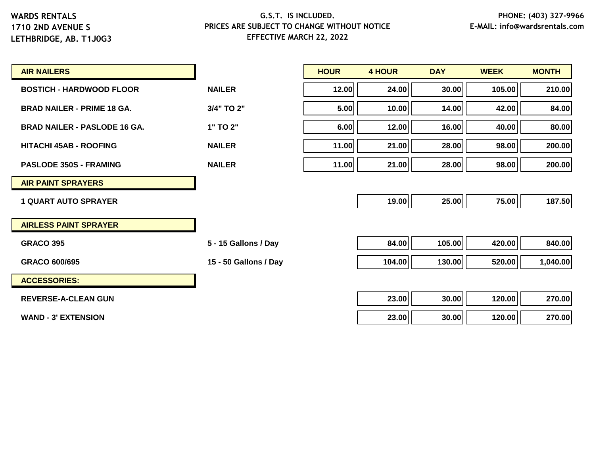# **G.S.T. IS INCLUDED. PRICES ARE SUBJECT TO CHANGE WITHOUT NOTICE EFFECTIVE MARCH 22, 2022**

| <b>AIR NAILERS</b>                  |                       | <b>HOUR</b> | <b>4 HOUR</b> | <b>DAY</b> | <b>WEEK</b> | <b>MONTH</b> |
|-------------------------------------|-----------------------|-------------|---------------|------------|-------------|--------------|
| <b>BOSTICH - HARDWOOD FLOOR</b>     | <b>NAILER</b>         | 12.00       | 24.00         | 30.00      | 105.00      | 210.00       |
| <b>BRAD NAILER - PRIME 18 GA.</b>   | 3/4" TO 2"            | 5.00        | 10.00         | 14.00      | 42.00       | 84.00        |
| <b>BRAD NAILER - PASLODE 16 GA.</b> | 1" TO 2"              | 6.00        | 12.00         | 16.00      | 40.00       | 80.00        |
| <b>HITACHI 45AB - ROOFING</b>       | <b>NAILER</b>         | 11.00       | 21.00         | 28.00      | 98.00       | 200.00       |
| <b>PASLODE 350S - FRAMING</b>       | <b>NAILER</b>         | 11.00       | 21.00         | 28.00      | 98.00       | 200.00       |
| <b>AIR PAINT SPRAYERS</b>           |                       |             |               |            |             |              |
| <b>1 QUART AUTO SPRAYER</b>         |                       |             | 19.00         | 25.00      | 75.00       | 187.50       |
| <b>AIRLESS PAINT SPRAYER</b>        |                       |             |               |            |             |              |
| <b>GRACO 395</b>                    | 5 - 15 Gallons / Day  |             | 84.00         | 105.00     | 420.00      | 840.00       |
| <b>GRACO 600/695</b>                | 15 - 50 Gallons / Day |             | 104.00        | 130.00     | 520.00      | 1,040.00     |
| <b>ACCESSORIES:</b>                 |                       |             |               |            |             |              |
| <b>REVERSE-A-CLEAN GUN</b>          |                       |             | 23.00         | 30.00      | 120.00      | 270.00       |

**WAND - 3' EXTENSION 23.00 30.00 120.00 270.00**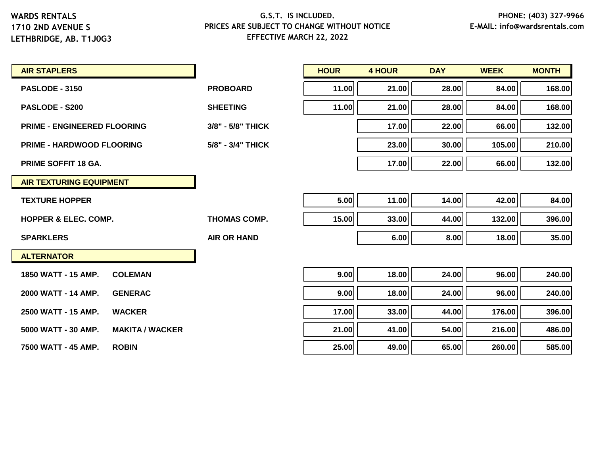| <b>AIR STAPLERS</b>                           |                     | <b>HOUR</b> | <b>4 HOUR</b> | <b>DAY</b> | <b>WEEK</b> | <b>MONTH</b> |
|-----------------------------------------------|---------------------|-------------|---------------|------------|-------------|--------------|
| <b>PASLODE - 3150</b>                         | <b>PROBOARD</b>     | 11.00       | 21.00         | 28.00      | 84.00       | 168.00       |
| <b>PASLODE - S200</b>                         | <b>SHEETING</b>     | 11.00       | 21.00         | 28.00      | 84.00       | 168.00       |
| <b>PRIME - ENGINEERED FLOORING</b>            | 3/8" - 5/8" THICK   |             | 17.00         | 22.00      | 66.00       | 132.00       |
| <b>PRIME - HARDWOOD FLOORING</b>              | 5/8" - 3/4" THICK   |             | 23.00         | 30.00      | 105.00      | 210.00       |
| <b>PRIME SOFFIT 18 GA.</b>                    |                     |             | 17.00         | 22.00      | 66.00       | 132.00       |
| <b>AIR TEXTURING EQUIPMENT</b>                |                     |             |               |            |             |              |
| <b>TEXTURE HOPPER</b>                         |                     | 5.00        | 11.00         | 14.00      | 42.00       | 84.00        |
| <b>HOPPER &amp; ELEC. COMP.</b>               | <b>THOMAS COMP.</b> | 15.00       | 33.00         | 44.00      | 132.00      | 396.00       |
| <b>SPARKLERS</b>                              | <b>AIR OR HAND</b>  |             | 6.00          | 8.00       | 18.00       | 35.00        |
| <b>ALTERNATOR</b>                             |                     |             |               |            |             |              |
| 1850 WATT - 15 AMP.<br><b>COLEMAN</b>         |                     | 9.00        | 18.00         | 24.00      | 96.00       | 240.00       |
| 2000 WATT - 14 AMP.<br><b>GENERAC</b>         |                     | 9.00        | 18.00         | 24.00      | 96.00       | 240.00       |
| 2500 WATT - 15 AMP.<br><b>WACKER</b>          |                     | 17.00       | 33.00         | 44.00      | 176.00      | 396.00       |
| 5000 WATT - 30 AMP.<br><b>MAKITA / WACKER</b> |                     | 21.00       | 41.00         | 54.00      | 216.00      | 486.00       |
| <b>ROBIN</b><br>7500 WATT - 45 AMP.           |                     | 25.00       | 49.00         | 65.00      | 260.00      | 585.00       |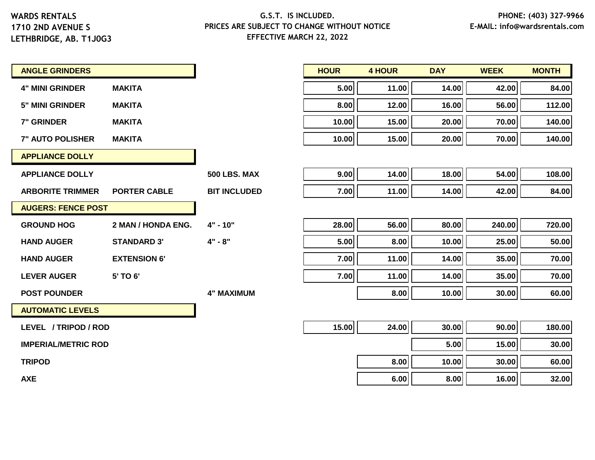**1710 2ND AVENUE S LETHBRIDGE, AB. T1J0G3**

#### **G.S.T. IS INCLUDED. PRICES ARE SUBJECT TO CHANGE WITHOUT NOTICE EFFECTIVE MARCH 22, 2022**

| <b>ANGLE GRINDERS</b>      |                     |                     | <b>HOUR</b> | <b>4 HOUR</b> | <b>DAY</b> | <b>WEEK</b> | <b>MONTH</b> |
|----------------------------|---------------------|---------------------|-------------|---------------|------------|-------------|--------------|
| <b>4" MINI GRINDER</b>     | <b>MAKITA</b>       |                     | 5.00        | 11.00         | 14.00      | 42.00       | 84.00        |
| <b>5" MINI GRINDER</b>     | <b>MAKITA</b>       |                     | 8.00        | 12.00         | 16.00      | 56.00       | 112.00       |
| <b>7" GRINDER</b>          | <b>MAKITA</b>       |                     | 10.00       | 15.00         | 20.00      | 70.00       | 140.00       |
| <b>7" AUTO POLISHER</b>    | <b>MAKITA</b>       |                     | 10.00       | 15.00         | 20.00      | 70.00       | 140.00       |
| <b>APPLIANCE DOLLY</b>     |                     |                     |             |               |            |             |              |
| <b>APPLIANCE DOLLY</b>     |                     | <b>500 LBS. MAX</b> | 9.00        | 14.00         | 18.00      | 54.00       | 108.00       |
| <b>ARBORITE TRIMMER</b>    | <b>PORTER CABLE</b> | <b>BIT INCLUDED</b> | 7.00        | 11.00         | 14.00      | 42.00       | 84.00        |
| <b>AUGERS: FENCE POST</b>  |                     |                     |             |               |            |             |              |
| <b>GROUND HOG</b>          | 2 MAN / HONDA ENG.  | $4" - 10"$          | 28.00       | 56.00         | 80.00      | 240.00      | 720.00       |
| <b>HAND AUGER</b>          | <b>STANDARD 3'</b>  | $4" - 8"$           | 5.00        | 8.00          | 10.00      | 25.00       | 50.00        |
| <b>HAND AUGER</b>          | <b>EXTENSION 6'</b> |                     | 7.00        | 11.00         | 14.00      | 35.00       | 70.00        |
| <b>LEVER AUGER</b>         | 5' TO 6'            |                     | 7.00        | 11.00         | 14.00      | 35.00       | 70.00        |
| <b>POST POUNDER</b>        |                     | <b>4" MAXIMUM</b>   |             | 8.00          | 10.00      | 30.00       | 60.00        |
| <b>AUTOMATIC LEVELS</b>    |                     |                     |             |               |            |             |              |
| LEVEL / TRIPOD / ROD       |                     |                     | 15.00       | 24.00         | 30.00      | 90.00       | 180.00       |
| <b>IMPERIAL/METRIC ROD</b> |                     |                     |             |               | 5.00       | 15.00       | 30.00        |
| <b>TRIPOD</b>              |                     |                     |             | 8.00          | 10.00      | 30.00       | 60.00        |

**AXE 6.00 8.00 16.00 32.00**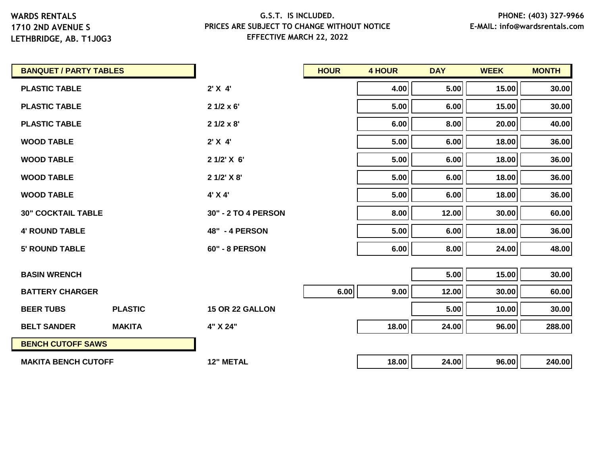# **1710 2ND AVENUE S**

**LETHBRIDGE, AB. T1J0G3**

| <b>BANQUET / PARTY TABLES</b> |                |                       | <b>HOUR</b> | <b>4 HOUR</b> | <b>DAY</b> | <b>WEEK</b> | <b>MONTH</b> |
|-------------------------------|----------------|-----------------------|-------------|---------------|------------|-------------|--------------|
| <b>PLASTIC TABLE</b>          |                | 2'X4'                 |             | 4.00          | 5.00       | 15.00       | 30.00        |
| <b>PLASTIC TABLE</b>          |                | $21/2 \times 6'$      |             | 5.00          | 6.00       | 15.00       | 30.00        |
| <b>PLASTIC TABLE</b>          |                | $21/2 \times 8'$      |             | 6.00          | 8.00       | 20.00       | 40.00        |
| <b>WOOD TABLE</b>             |                | 2' X 4'               |             | 5.00          | 6.00       | 18.00       | 36.00        |
| <b>WOOD TABLE</b>             |                | 2 1/2' X 6'           |             | 5.00          | 6.00       | 18.00       | 36.00        |
| <b>WOOD TABLE</b>             |                | 2 1/2' X 8'           |             | 5.00          | 6.00       | 18.00       | 36.00        |
| <b>WOOD TABLE</b>             |                | 4' X 4'               |             | 5.00          | 6.00       | 18.00       | 36.00        |
| <b>30" COCKTAIL TABLE</b>     |                | 30" - 2 TO 4 PERSON   |             | 8.00          | 12.00      | 30.00       | 60.00        |
| <b>4' ROUND TABLE</b>         |                | <b>48" - 4 PERSON</b> |             | 5.00          | 6.00       | 18.00       | 36.00        |
| <b>5' ROUND TABLE</b>         |                | <b>60" - 8 PERSON</b> |             | 6.00          | 8.00       | 24.00       | 48.00        |
|                               |                |                       |             |               |            |             |              |
| <b>BASIN WRENCH</b>           |                |                       |             |               | 5.00       | 15.00       | 30.00        |
| <b>BATTERY CHARGER</b>        |                |                       | 6.00        | 9.00          | 12.00      | 30.00       | 60.00        |
| <b>BEER TUBS</b>              | <b>PLASTIC</b> | 15 OR 22 GALLON       |             |               | 5.00       | 10.00       | 30.00        |
| <b>BELT SANDER</b>            | <b>MAKITA</b>  | 4" X 24"              |             | 18.00         | 24.00      | 96.00       | 288.00       |
| <b>BENCH CUTOFF SAWS</b>      |                |                       |             |               |            |             |              |
| <b>MAKITA BENCH CUTOFF</b>    |                | <b>12" METAL</b>      |             | 18.00         | 24.00      | 96.00       | 240.00       |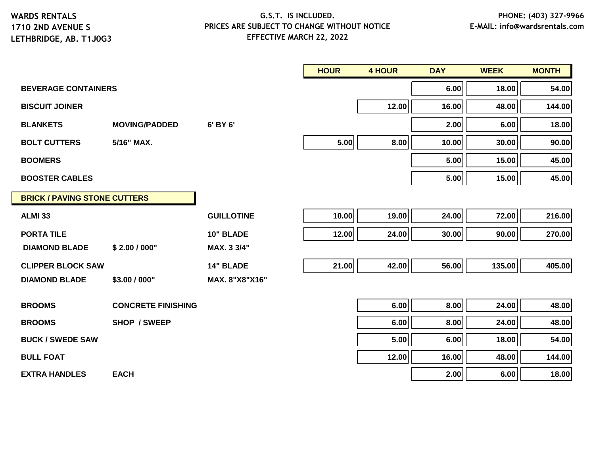**1710 2ND AVENUE S LETHBRIDGE, AB. T1J0G3**

|                                     |                           |                   | <b>HOUR</b> | <b>4 HOUR</b> | <b>DAY</b> | <b>WEEK</b> | <b>MONTH</b> |
|-------------------------------------|---------------------------|-------------------|-------------|---------------|------------|-------------|--------------|
| <b>BEVERAGE CONTAINERS</b>          |                           |                   |             |               | 6.00       | 18.00       | 54.00        |
| <b>BISCUIT JOINER</b>               |                           |                   |             | 12.00         | 16.00      | 48.00       | 144.00       |
| <b>BLANKETS</b>                     | <b>MOVING/PADDED</b>      | 6' BY 6'          |             |               | 2.00       | 6.00        | 18.00        |
| <b>BOLT CUTTERS</b>                 | 5/16" MAX.                |                   | 5.00        | 8.00          | 10.00      | 30.00       | 90.00        |
| <b>BOOMERS</b>                      |                           |                   |             |               | 5.00       | 15.00       | 45.00        |
| <b>BOOSTER CABLES</b>               |                           |                   |             |               | 5.00       | 15.00       | 45.00        |
| <b>BRICK / PAVING STONE CUTTERS</b> |                           |                   |             |               |            |             |              |
| <b>ALMI 33</b>                      |                           | <b>GUILLOTINE</b> | 10.00       | 19.00         | 24.00      | 72.00       | 216.00       |
| <b>PORTA TILE</b>                   |                           | 10" BLADE         | 12.00       | 24.00         | 30.00      | 90.00       | 270.00       |
| <b>DIAMOND BLADE</b>                | \$2.00 / 000"             | MAX. 3 3/4"       |             |               |            |             |              |
| <b>CLIPPER BLOCK SAW</b>            |                           | <b>14" BLADE</b>  | 21.00       | 42.00         | 56.00      | 135.00      | 405.00       |
| <b>DIAMOND BLADE</b>                | \$3.00 / 000"             | MAX. 8"X8"X16"    |             |               |            |             |              |
| <b>BROOMS</b>                       | <b>CONCRETE FINISHING</b> |                   |             | 6.00          | 8.00       | 24.00       | 48.00        |
| <b>BROOMS</b>                       | <b>SHOP / SWEEP</b>       |                   |             | 6.00          | 8.00       | 24.00       | 48.00        |
| <b>BUCK / SWEDE SAW</b>             |                           |                   |             | 5.00          | 6.00       | 18.00       | 54.00        |
| <b>BULL FOAT</b>                    |                           |                   |             | 12.00         | 16.00      | 48.00       | 144.00       |
| <b>EXTRA HANDLES</b>                | <b>EACH</b>               |                   |             |               | 2.00       | 6.00        | 18.00        |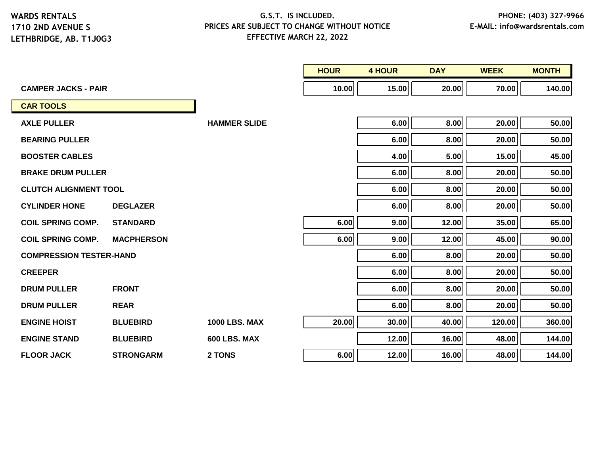**LETHBRIDGE, AB. T1J0G3**

|                                |                   |                      | <b>HOUR</b> | <b>4 HOUR</b> | <b>DAY</b> | <b>WEEK</b> | <b>MONTH</b> |
|--------------------------------|-------------------|----------------------|-------------|---------------|------------|-------------|--------------|
| <b>CAMPER JACKS - PAIR</b>     |                   |                      | 10.00       | 15.00         | 20.00      | 70.00       | 140.00       |
| <b>CAR TOOLS</b>               |                   |                      |             |               |            |             |              |
| <b>AXLE PULLER</b>             |                   | <b>HAMMER SLIDE</b>  |             | 6.00          | 8.00       | 20.00       | 50.00        |
| <b>BEARING PULLER</b>          |                   |                      |             | 6.00          | 8.00       | 20.00       | 50.00        |
| <b>BOOSTER CABLES</b>          |                   |                      |             | 4.00          | 5.00       | 15.00       | 45.00        |
| <b>BRAKE DRUM PULLER</b>       |                   |                      |             | 6.00          | 8.00       | 20.00       | 50.00        |
| <b>CLUTCH ALIGNMENT TOOL</b>   |                   |                      |             | 6.00          | 8.00       | 20.00       | 50.00        |
| <b>CYLINDER HONE</b>           | <b>DEGLAZER</b>   |                      |             | 6.00          | 8.00       | 20.00       | 50.00        |
| <b>COIL SPRING COMP.</b>       | <b>STANDARD</b>   |                      | 6.00        | 9.00          | 12.00      | 35.00       | 65.00        |
| <b>COIL SPRING COMP.</b>       | <b>MACPHERSON</b> |                      | 6.00        | 9.00          | 12.00      | 45.00       | 90.00        |
| <b>COMPRESSION TESTER-HAND</b> |                   |                      |             | 6.00          | 8.00       | 20.00       | 50.00        |
| <b>CREEPER</b>                 |                   |                      |             | 6.00          | 8.00       | 20.00       | 50.00        |
| <b>DRUM PULLER</b>             | <b>FRONT</b>      |                      |             | 6.00          | 8.00       | 20.00       | 50.00        |
| <b>DRUM PULLER</b>             | <b>REAR</b>       |                      |             | 6.00          | 8.00       | 20.00       | 50.00        |
| <b>ENGINE HOIST</b>            | <b>BLUEBIRD</b>   | <b>1000 LBS. MAX</b> | 20.00       | 30.00         | 40.00      | 120.00      | 360.00       |
| <b>ENGINE STAND</b>            | <b>BLUEBIRD</b>   | 600 LBS. MAX         |             | 12.00         | 16.00      | 48.00       | 144.00       |
| <b>FLOOR JACK</b>              | <b>STRONGARM</b>  | 2 TONS               | 6.00        | 12.00         | 16.00      | 48.00       | 144.00       |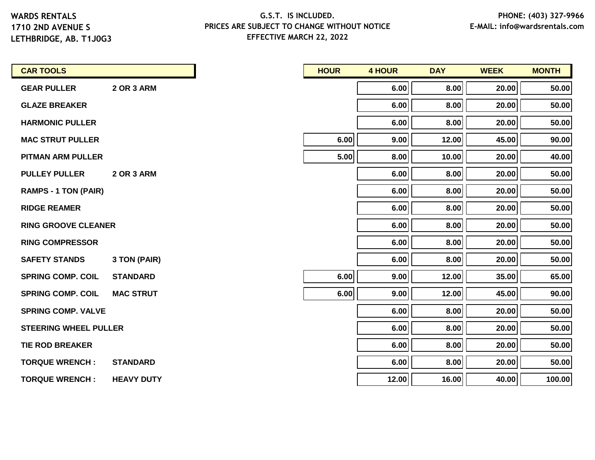**1710 2ND AVENUE S LETHBRIDGE, AB. T1J0G3**

| <b>CAR TOOLS</b>             |                   |
|------------------------------|-------------------|
| <b>GEAR PULLER</b>           | 2 OR 3 ARM        |
| <b>GLAZE BREAKER</b>         |                   |
| <b>HARMONIC PULLER</b>       |                   |
| <b>MAC STRUT PULLER</b>      |                   |
| <b>PITMAN ARM PULLER</b>     |                   |
| <b>PULLEY PULLER</b>         | <b>2 OR 3 ARM</b> |
| <b>RAMPS - 1 TON (PAIR)</b>  |                   |
| <b>RIDGE REAMER</b>          |                   |
| <b>RING GROOVE CLEANER</b>   |                   |
| <b>RING COMPRESSOR</b>       |                   |
| <b>SAFETY STANDS</b>         | 3 TON (PAIR)      |
| <b>SPRING COMP. COIL</b>     | <b>STANDARD</b>   |
| <b>SPRING COMP. COIL</b>     | <b>MAC STRUT</b>  |
| <b>SPRING COMP. VALVE</b>    |                   |
| <b>STEERING WHEEL PULLER</b> |                   |
| <b>TIE ROD BREAKER</b>       |                   |
| <b>TORQUE WRENCH:</b>        | <b>STANDARD</b>   |
| <b>TORQUE WRENCH:</b>        | <b>HEAVY DUTY</b> |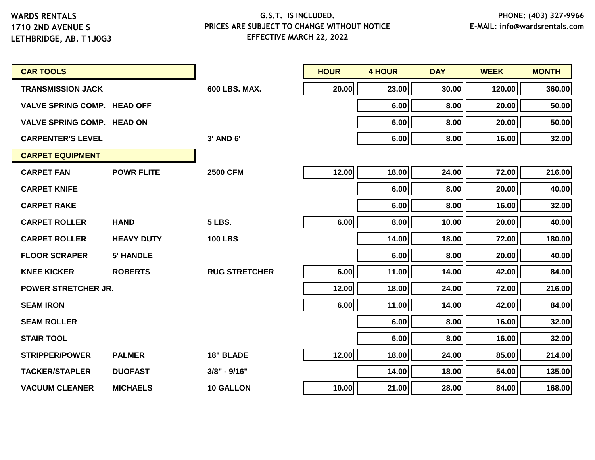| <b>CAR TOOLS</b>                   |                   |                      | <b>HOUR</b> | <b>4 HOUR</b> | <b>DAY</b> | <b>WEEK</b> | <b>MONTH</b> |
|------------------------------------|-------------------|----------------------|-------------|---------------|------------|-------------|--------------|
| <b>TRANSMISSION JACK</b>           |                   | <b>600 LBS. MAX.</b> | 20.00       | 23.00         | 30.00      | 120.00      | 360.00       |
| <b>VALVE SPRING COMP. HEAD OFF</b> |                   |                      |             | 6.00          | 8.00       | 20.00       | 50.00        |
| <b>VALVE SPRING COMP. HEAD ON</b>  |                   |                      |             | 6.00          | 8.00       | 20.00       | 50.00        |
| <b>CARPENTER'S LEVEL</b>           |                   | 3' AND 6'            |             | 6.00          | 8.00       | 16.00       | 32.00        |
| <b>CARPET EQUIPMENT</b>            |                   |                      |             |               |            |             |              |
| <b>CARPET FAN</b>                  | <b>POWR FLITE</b> | <b>2500 CFM</b>      | 12.00       | 18.00         | 24.00      | 72.00       | 216.00       |
| <b>CARPET KNIFE</b>                |                   |                      |             | 6.00          | 8.00       | 20.00       | 40.00        |
| <b>CARPET RAKE</b>                 |                   |                      |             | 6.00          | 8.00       | 16.00       | 32.00        |
| <b>CARPET ROLLER</b>               | <b>HAND</b>       | <b>5 LBS.</b>        | 6.00        | 8.00          | 10.00      | 20.00       | 40.00        |
| <b>CARPET ROLLER</b>               | <b>HEAVY DUTY</b> | <b>100 LBS</b>       |             | 14.00         | 18.00      | 72.00       | 180.00       |
| <b>FLOOR SCRAPER</b>               | <b>5' HANDLE</b>  |                      |             | 6.00          | 8.00       | 20.00       | 40.00        |
| <b>KNEE KICKER</b>                 | <b>ROBERTS</b>    | <b>RUG STRETCHER</b> | 6.00        | 11.00         | 14.00      | 42.00       | 84.00        |
| <b>POWER STRETCHER JR.</b>         |                   |                      | 12.00       | 18.00         | 24.00      | 72.00       | 216.00       |
| <b>SEAM IRON</b>                   |                   |                      | 6.00        | 11.00         | 14.00      | 42.00       | 84.00        |
| <b>SEAM ROLLER</b>                 |                   |                      |             | 6.00          | 8.00       | 16.00       | 32.00        |
| <b>STAIR TOOL</b>                  |                   |                      |             | 6.00          | 8.00       | 16.00       | 32.00        |
| <b>STRIPPER/POWER</b>              | <b>PALMER</b>     | <b>18" BLADE</b>     | 12.00       | 18.00         | 24.00      | 85.00       | 214.00       |
| <b>TACKER/STAPLER</b>              | <b>DUOFAST</b>    | 3/8" - 9/16"         |             | 14.00         | 18.00      | 54.00       | 135.00       |
| <b>VACUUM CLEANER</b>              | <b>MICHAELS</b>   | <b>10 GALLON</b>     | 10.00       | 21.00         | 28.00      | 84.00       | 168.00       |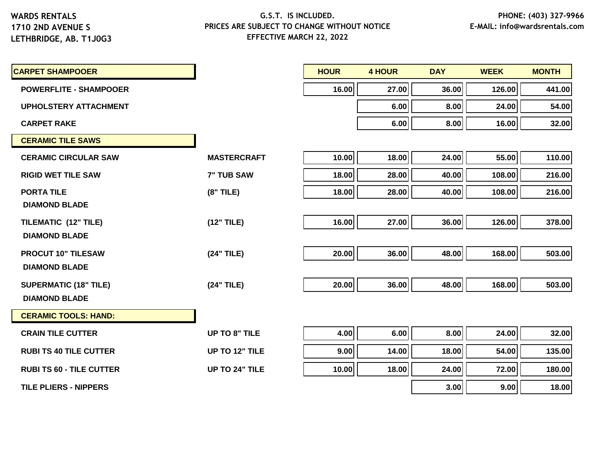**LETHBRIDGE, AB. T1J0G3**

| <b>CARPET SHAMPOOER</b>         |                      | <b>HOUR</b> | <b>4 HOUR</b> | <b>DAY</b> | <b>WEEK</b> | <b>MONTH</b> |
|---------------------------------|----------------------|-------------|---------------|------------|-------------|--------------|
| <b>POWERFLITE - SHAMPOOER</b>   |                      | 16.00       | 27.00         | 36.00      | 126.00      | 441.00       |
| <b>UPHOLSTERY ATTACHMENT</b>    |                      |             | 6.00          | 8.00       | 24.00       | 54.00        |
| <b>CARPET RAKE</b>              |                      |             | 6.00          | 8.00       | 16.00       | 32.00        |
| <b>CERAMIC TILE SAWS</b>        |                      |             |               |            |             |              |
| <b>CERAMIC CIRCULAR SAW</b>     | <b>MASTERCRAFT</b>   | 10.00       | 18.00         | 24.00      | 55.00       | 110.00       |
| <b>RIGID WET TILE SAW</b>       | <b>7" TUB SAW</b>    | 18.00       | 28.00         | 40.00      | 108.00      | 216.00       |
| <b>PORTA TILE</b>               | $(8"$ TILE)          | 18.00       | 28.00         | 40.00      | 108.00      | 216.00       |
| <b>DIAMOND BLADE</b>            |                      |             |               |            |             |              |
| TILEMATIC (12" TILE)            | (12" TILE)           | 16.00       | 27.00         | 36.00      | 126.00      | 378.00       |
| <b>DIAMOND BLADE</b>            |                      |             |               |            |             |              |
| <b>PROCUT 10" TILESAW</b>       | (24" TILE)           | 20.00       | 36.00         | 48.00      | 168.00      | 503.00       |
| <b>DIAMOND BLADE</b>            |                      |             |               |            |             |              |
| <b>SUPERMATIC (18" TILE)</b>    | (24" TILE)           | 20.00       | 36.00         | 48.00      | 168.00      | 503.00       |
| <b>DIAMOND BLADE</b>            |                      |             |               |            |             |              |
| <b>CERAMIC TOOLS: HAND:</b>     |                      |             |               |            |             |              |
| <b>CRAIN TILE CUTTER</b>        | <b>UP TO 8" TILE</b> | 4.00        | 6.00          | 8.00       | 24.00       | 32.00        |
| <b>RUBI TS 40 TILE CUTTER</b>   | UP TO 12" TILE       | 9.00        | 14.00         | 18.00      | 54.00       | 135.00       |
| <b>RUBI TS 60 - TILE CUTTER</b> | UP TO 24" TILE       | 10.00       | 18.00         | 24.00      | 72.00       | 180.00       |
| <b>TILE PLIERS - NIPPERS</b>    |                      |             |               | 3.00       | 9.00        | 18.00        |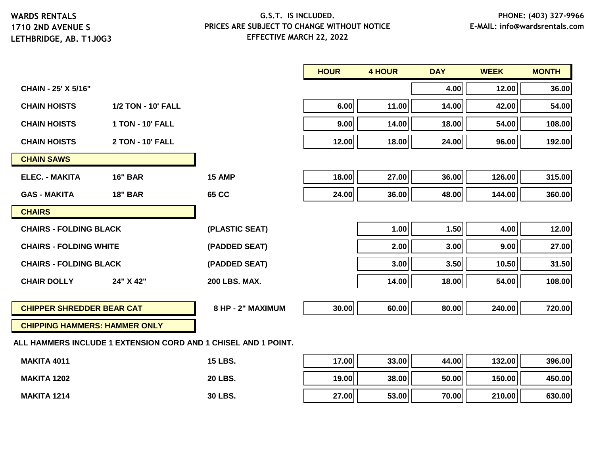**1710 2ND AVENUE S LETHBRIDGE, AB. T1J0G3**

# **G.S.T. IS INCLUDED. PRICES ARE SUBJECT TO CHANGE WITHOUT NOTICE EFFECTIVE MARCH 22, 2022**

|       |                                                                | 4.00  | 12.00  | 36.00  |
|-------|----------------------------------------------------------------|-------|--------|--------|
| 6.00  | 11.00                                                          | 14.00 | 42.00  | 54.00  |
| 9.00  | 14.00                                                          | 18.00 | 54.00  | 108.00 |
| 12.00 | 18.00                                                          | 24.00 | 96.00  | 192.00 |
|       |                                                                |       |        |        |
| 18.00 | 27.00                                                          | 36.00 | 126.00 | 315.00 |
| 24.00 | 36.00                                                          | 48.00 | 144.00 | 360.00 |
|       |                                                                |       |        |        |
|       | 1.00                                                           | 1.50  | 4.00   | 12.00  |
|       | 2.00                                                           | 3.00  | 9.00   | 27.00  |
|       | 3.00                                                           | 3.50  | 10.50  | 31.50  |
|       | 14.00                                                          | 18.00 | 54.00  | 108.00 |
| 30.00 | 60.00                                                          | 80.00 | 240.00 | 720.00 |
|       |                                                                |       |        |        |
|       | ALL HAMMERS INCLUDE 1 EXTENSION CORD AND 1 CHISEL AND 1 POINT. |       |        |        |

**ALL HAMMERS INCLUDE 1 EXTENSION CORD AND 1 CHISEL AND 1 POINT.**

| <b>MAKITA 4011</b> | <b>15 LBS.</b> | 17.00 | $33.00$ | 44.00 | 132.00 | 396.00 |
|--------------------|----------------|-------|---------|-------|--------|--------|
| <b>MAKITA 1202</b> | <b>20 LBS.</b> | 19.00 | 38.00   | 50.00 | 150.00 | 450.00 |
| <b>MAKITA 1214</b> | 30 LBS.        | 27.00 | 53.00   | 70.00 | 210.00 | 630.00 |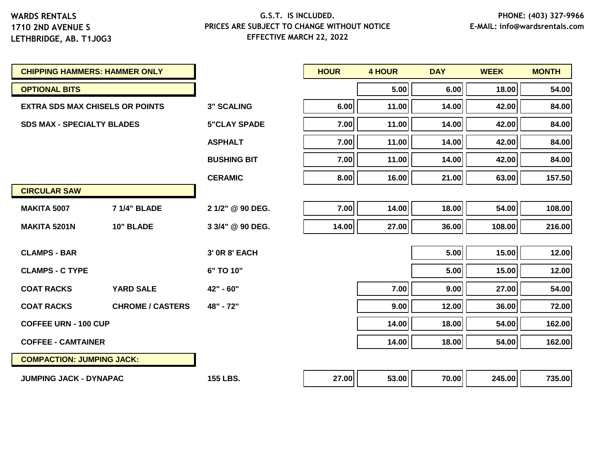| <b>CHIPPING HAMMERS: HAMMER ONLY</b>   |                         |                     | <b>HOUR</b> | <b>4 HOUR</b> | <b>DAY</b> | <b>WEEK</b> | <b>MONTH</b> |
|----------------------------------------|-------------------------|---------------------|-------------|---------------|------------|-------------|--------------|
| <b>OPTIONAL BITS</b>                   |                         |                     |             | 5.00          | 6.00       | 18.00       | 54.00        |
| <b>EXTRA SDS MAX CHISELS OR POINTS</b> |                         | <b>3" SCALING</b>   | 6.00        | 11.00         | 14.00      | 42.00       | 84.00        |
| <b>SDS MAX - SPECIALTY BLADES</b>      |                         | <b>5"CLAY SPADE</b> | 7.00        | 11.00         | 14.00      | 42.00       | 84.00        |
|                                        |                         | <b>ASPHALT</b>      | 7.00        | 11.00         | 14.00      | 42.00       | 84.00        |
|                                        |                         | <b>BUSHING BIT</b>  | 7.00        | 11.00         | 14.00      | 42.00       | 84.00        |
|                                        |                         | <b>CERAMIC</b>      | 8.00        | 16.00         | 21.00      | 63.00       | 157.50       |
| <b>CIRCULAR SAW</b>                    |                         |                     |             |               |            |             |              |
| <b>MAKITA 5007</b>                     | <b>7 1/4" BLADE</b>     | 2 1/2" @ 90 DEG.    | 7.00        | 14.00         | 18.00      | 54.00       | 108.00       |
| <b>MAKITA 5201N</b>                    | 10" BLADE               | 3 3/4" @ 90 DEG.    | 14.00       | 27.00         | 36.00      | 108.00      | 216.00       |
| <b>CLAMPS - BAR</b>                    |                         | 3' 0R 8' EACH       |             |               | 5.00       | 15.00       | 12.00        |
|                                        |                         |                     |             |               |            |             |              |
| <b>CLAMPS - C TYPE</b>                 |                         | 6" TO 10"           |             |               | 5.00       | 15.00       | 12.00        |
| <b>COAT RACKS</b>                      | <b>YARD SALE</b>        | 42" - 60"           |             | 7.00          | 9.00       | 27.00       | 54.00        |
| <b>COAT RACKS</b>                      | <b>CHROME / CASTERS</b> | 48" - 72"           |             | 9.00          | 12.00      | 36.00       | 72.00        |
| <b>COFFEE URN - 100 CUP</b>            |                         |                     |             | 14.00         | 18.00      | 54.00       | 162.00       |
| <b>COFFEE - CAMTAINER</b>              |                         |                     |             | 14.00         | 18.00      | 54.00       | 162.00       |
| <b>COMPACTION: JUMPING JACK:</b>       |                         |                     |             |               |            |             |              |
| <b>JUMPING JACK - DYNAPAC</b>          |                         | <b>155 LBS.</b>     | 27.00       | 53.00         | 70.00      | 245.00      | 735.00       |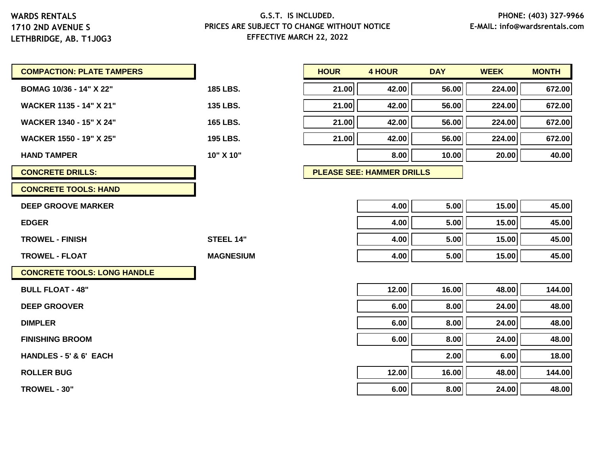**1710 2ND AVENUE S LETHBRIDGE, AB. T1J0G3**

| <b>COMPACTION: PLATE TAMPERS</b>   |                  | <b>HOUR</b> | <b>4 HOUR</b>                    | <b>DAY</b> | <b>WEEK</b> | <b>MONTH</b> |
|------------------------------------|------------------|-------------|----------------------------------|------------|-------------|--------------|
| BOMAG 10/36 - 14" X 22"            | 185 LBS.         | 21.00       | 42.00                            | 56.00      | 224.00      | 672.00       |
| <b>WACKER 1135 - 14" X 21"</b>     | 135 LBS.         | 21.00       | 42.00                            | 56.00      | 224.00      | 672.00       |
| <b>WACKER 1340 - 15" X 24"</b>     | 165 LBS.         | 21.00       | 42.00                            | 56.00      | 224.00      | 672.00       |
| <b>WACKER 1550 - 19" X 25"</b>     | 195 LBS.         | 21.00       | 42.00                            | 56.00      | 224.00      | 672.00       |
| <b>HAND TAMPER</b>                 | 10" X 10"        |             | 8.00                             | 10.00      | 20.00       | 40.00        |
| <b>CONCRETE DRILLS:</b>            |                  |             | <b>PLEASE SEE: HAMMER DRILLS</b> |            |             |              |
| <b>CONCRETE TOOLS: HAND</b>        |                  |             |                                  |            |             |              |
| <b>DEEP GROOVE MARKER</b>          |                  |             | 4.00                             | 5.00       | 15.00       | 45.00        |
| <b>EDGER</b>                       |                  |             | 4.00                             | 5.00       | 15.00       | 45.00        |
| <b>TROWEL - FINISH</b>             | <b>STEEL 14"</b> |             | 4.00                             | 5.00       | 15.00       | 45.00        |
| <b>TROWEL - FLOAT</b>              | <b>MAGNESIUM</b> |             | 4.00                             | 5.00       | 15.00       | 45.00        |
| <b>CONCRETE TOOLS: LONG HANDLE</b> |                  |             |                                  |            |             |              |
| <b>BULL FLOAT - 48"</b>            |                  |             | 12.00                            | 16.00      | 48.00       | 144.00       |
| <b>DEEP GROOVER</b>                |                  |             | 6.00                             | 8.00       | 24.00       | 48.00        |
| <b>DIMPLER</b>                     |                  |             | 6.00                             | 8.00       | 24.00       | 48.00        |
| <b>FINISHING BROOM</b>             |                  |             | 6.00                             | 8.00       | 24.00       | 48.00        |
| HANDLES - 5' & 6' EACH             |                  |             |                                  | 2.00       | 6.00        | 18.00        |
| <b>ROLLER BUG</b>                  |                  |             | 12.00                            | 16.00      | 48.00       | 144.00       |
| TROWEL - 30"                       |                  |             | 6.00                             | 8.00       | 24.00       | 48.00        |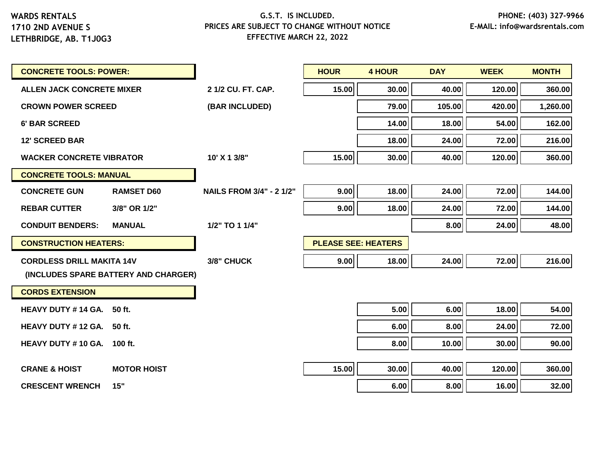| <b>CONCRETE TOOLS: POWER:</b>     |                                      |                                 | <b>HOUR</b>                | <b>4 HOUR</b> | <b>DAY</b> | <b>WEEK</b> | <b>MONTH</b> |
|-----------------------------------|--------------------------------------|---------------------------------|----------------------------|---------------|------------|-------------|--------------|
| <b>ALLEN JACK CONCRETE MIXER</b>  |                                      | 2 1/2 CU, FT, CAP.              | 15.00                      | 30.00         | 40.00      | 120.00      | 360.00       |
| <b>CROWN POWER SCREED</b>         |                                      | (BAR INCLUDED)                  |                            | 79.00         | 105.00     | 420.00      | 1,260.00     |
| <b>6' BAR SCREED</b>              |                                      |                                 |                            | 14.00         | 18.00      | 54.00       | 162.00       |
| <b>12' SCREED BAR</b>             |                                      |                                 |                            | 18.00         | 24.00      | 72.00       | 216.00       |
| <b>WACKER CONCRETE VIBRATOR</b>   |                                      | 10' X 1 3/8"                    | 15.00                      | 30.00         | 40.00      | 120.00      | 360.00       |
| <b>CONCRETE TOOLS: MANUAL</b>     |                                      |                                 |                            |               |            |             |              |
| <b>CONCRETE GUN</b>               | <b>RAMSET D60</b>                    | <b>NAILS FROM 3/4" - 2 1/2"</b> | 9.00                       | 18.00         | 24.00      | 72.00       | 144.00       |
| <b>REBAR CUTTER</b>               | 3/8" OR 1/2"                         |                                 | 9.00                       | 18.00         | 24.00      | 72.00       | 144.00       |
| <b>CONDUIT BENDERS:</b>           | <b>MANUAL</b>                        | 1/2" TO 1 1/4"                  |                            |               | 8.00       | 24.00       | 48.00        |
| <b>CONSTRUCTION HEATERS:</b>      |                                      |                                 | <b>PLEASE SEE: HEATERS</b> |               |            |             |              |
| <b>CORDLESS DRILL MAKITA 14V</b>  |                                      | 3/8" CHUCK                      | 9.00                       | 18.00         | 24.00      | 72.00       | 216.00       |
|                                   | (INCLUDES SPARE BATTERY AND CHARGER) |                                 |                            |               |            |             |              |
| <b>CORDS EXTENSION</b>            |                                      |                                 |                            |               |            |             |              |
| <b>HEAVY DUTY #14 GA.</b>         | 50 ft.                               |                                 |                            | 5.00          | 6.00       | 18.00       | 54.00        |
| <b>HEAVY DUTY #12 GA.</b>         | 50 ft.                               |                                 |                            | 6.00          | 8.00       | 24.00       | 72.00        |
| <b>HEAVY DUTY #10 GA. 100 ft.</b> |                                      |                                 |                            | 8.00          | 10.00      | 30.00       | 90.00        |
|                                   |                                      |                                 |                            |               |            |             |              |
| <b>CRANE &amp; HOIST</b>          | <b>MOTOR HOIST</b>                   |                                 | 15.00                      | 30.00         | 40.00      | 120.00      | 360.00       |
| <b>CRESCENT WRENCH</b>            | 15"                                  |                                 |                            | 6.00          | 8.00       | 16.00       | 32.00        |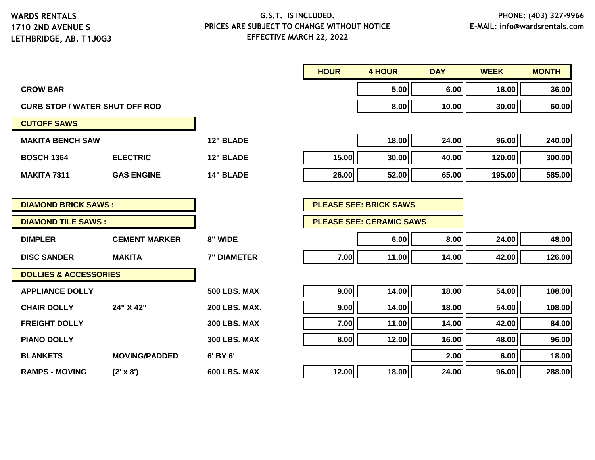# **G.S.T. IS INCLUDED. PRICES ARE SUBJECT TO CHANGE WITHOUT NOTICE EFFECTIVE MARCH 22, 2022**

**HOUR 4 HOUR DAY WEEK MONTH**

| <b>CROW BAR</b>                       |                      |                      |       | 5.00                            | 6.00  | 18.00  | 36.00  |
|---------------------------------------|----------------------|----------------------|-------|---------------------------------|-------|--------|--------|
| <b>CURB STOP / WATER SHUT OFF ROD</b> |                      |                      |       | 8.00                            | 10.00 | 30.00  | 60.00  |
| <b>CUTOFF SAWS</b>                    |                      |                      |       |                                 |       |        |        |
| <b>MAKITA BENCH SAW</b>               |                      | <b>12" BLADE</b>     |       | 18.00                           | 24.00 | 96.00  | 240.00 |
| <b>BOSCH 1364</b>                     | <b>ELECTRIC</b>      | 12" BLADE            | 15.00 | 30.00                           | 40.00 | 120.00 | 300.00 |
| <b>MAKITA 7311</b>                    | <b>GAS ENGINE</b>    | <b>14" BLADE</b>     | 26.00 | 52.00                           | 65.00 | 195.00 | 585.00 |
|                                       |                      |                      |       |                                 |       |        |        |
| <b>DIAMOND BRICK SAWS:</b>            |                      |                      |       | <b>PLEASE SEE: BRICK SAWS</b>   |       |        |        |
| <b>DIAMOND TILE SAWS:</b>             |                      |                      |       | <b>PLEASE SEE: CERAMIC SAWS</b> |       |        |        |
| <b>DIMPLER</b>                        | <b>CEMENT MARKER</b> | 8" WIDE              |       | 6.00                            | 8.00  | 24.00  | 48.00  |
| <b>DISC SANDER</b>                    | <b>MAKITA</b>        | <b>7" DIAMETER</b>   | 7.00  | 11.00                           | 14.00 | 42.00  | 126.00 |
| <b>DOLLIES &amp; ACCESSORIES</b>      |                      |                      |       |                                 |       |        |        |
| <b>APPLIANCE DOLLY</b>                |                      | <b>500 LBS. MAX</b>  | 9.00  | 14.00                           | 18.00 | 54.00  | 108.00 |
| <b>CHAIR DOLLY</b>                    | 24" X 42"            | <b>200 LBS. MAX.</b> | 9.00  | 14.00                           | 18.00 | 54.00  | 108.00 |
| <b>FREIGHT DOLLY</b>                  |                      | <b>300 LBS. MAX</b>  | 7.00  | 11.00                           | 14.00 | 42.00  | 84.00  |
| <b>PIANO DOLLY</b>                    |                      | <b>300 LBS. MAX</b>  | 8.00  | 12.00                           | 16.00 | 48.00  | 96.00  |
| <b>BLANKETS</b>                       | <b>MOVING/PADDED</b> | 6' BY 6'             |       |                                 | 2.00  | 6.00   | 18.00  |
| <b>RAMPS - MOVING</b>                 | $(2' \times 8')$     | 600 LBS. MAX         | 12.00 | 18.00                           | 24.00 | 96.00  | 288.00 |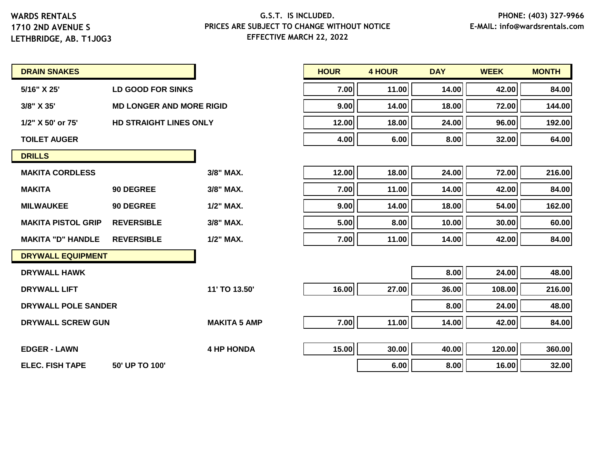**LETHBRIDGE, AB. T1J0G3**

# **G.S.T. IS INCLUDED. PRICES ARE SUBJECT TO CHANGE WITHOUT NOTICE EFFECTIVE MARCH 22, 2022**

| <b>DRAIN SNAKES</b> |  |
|---------------------|--|
|---------------------|--|

| 5/16" X 25' | LD GOOD FOR SINKS |
|-------------|-------------------|
|             |                   |

- **3/8" X 35' MD LONGER AND MORE RIGID 9.00 14.00 18.00 72.00 144.00**
- **1/2" X 50' or 75' HD STRAIGHT LINES ONLY 12.00 18.00 24.00 96.00 192.00**

| <b>DRILLS</b>              |                   |              |
|----------------------------|-------------------|--------------|
| <b>MAKITA CORDLESS</b>     |                   | $3/8"$ MAX.  |
| <b>MAKITA</b>              | 90 DEGREE         | 3/8" MAX.    |
| <b>MILWAUKEE</b>           | 90 DEGREE         | $1/2$ " MAX. |
| <b>MAKITA PISTOL GRIP</b>  | <b>REVERSIBLE</b> | $3/8$ " MAX. |
| <b>MAKITA "D" HANDLE</b>   | <b>REVERSIBLE</b> | $1/2$ " MAX. |
| <b>DRYWALL EQUIPMENT</b>   |                   |              |
| <b>DRYWALL HAWK</b>        |                   |              |
| <b>DRYWALL LIFT</b>        |                   | 11' TO 13.5  |
| <b>DRYWALL POLE SANDER</b> |                   |              |
|                            |                   |              |

| <b>DRAIN SNAKES</b> |                                 | <b>HOUR</b> | 4 HOUR | <b>DAY</b> | <b>WEEK</b> | <b>MONTH</b> |
|---------------------|---------------------------------|-------------|--------|------------|-------------|--------------|
| 5/16" X 25'         | LD GOOD FOR SINKS               | 7.00        | 11.00  | 14.00      | 42.00       | 84.00        |
| 3/8" X 35'          | <b>MD LONGER AND MORE RIGID</b> | 9.00        | 14.00  | 18.00      | 72.00       | 144.00       |
| 1/2" X 50' or 75'   | <b>HD STRAIGHT LINES ONLY</b>   | 12.00       | 18.00  | 24.00      | 96.00       | 192.00       |
| TOILET AUGER        |                                 | 4.00        | 6.00   | 8.00       | 32.00       | 64.00        |

| <b>MAKITA CORDLESS</b>    |                   | 3/8" MAX. | 12.00 | 18.00 | 24.00 | 72.00 | 216.00 |
|---------------------------|-------------------|-----------|-------|-------|-------|-------|--------|
| <b>MAKITA</b>             | 90 DEGREE         | 3/8" MAX. | 7.00  | 11.00 | 14.00 | 42.00 | 84.00  |
| <b>MILWAUKEE</b>          | 90 DEGREE         | 1/2" MAX. | 9.00  | 14.00 | 18.00 | 54.00 | 162.00 |
| <b>MAKITA PISTOL GRIP</b> | <b>REVERSIBLE</b> | 3/8" MAX. | 5.00  | 8.00  | 10.00 | 30.00 | 60.00  |
| <b>MAKITA "D" HANDLE</b>  | <b>REVERSIBLE</b> | 1/2" MAX. | 7.00  | 11.00 | 14.00 | 42.00 | 84.00  |

| <b>DRYWALL HAWK</b>                      |                     |       |       | 8.00  | 24.00  | 48.00  |
|------------------------------------------|---------------------|-------|-------|-------|--------|--------|
| <b>DRYWALL LIFT</b>                      | 11' TO 13.50'       | 16.00 | 27.00 | 36.00 | 108.00 | 216.00 |
| DRYWALL POLE SANDER                      |                     |       |       | 8.00  | 24.00  | 48.00  |
| <b>DRYWALL SCREW GUN</b>                 | <b>MAKITA 5 AMP</b> | 7.00  | 11.00 | 14.00 | 42.00  | 84.00  |
| <b>EDGER - LAWN</b>                      | <b>4 HP HONDA</b>   | 15.00 | 30.00 | 40.00 | 120.00 | 360.00 |
|                                          |                     |       |       |       |        |        |
| <b>ELEC. FISH TAPE</b><br>50' UP TO 100' |                     |       | 6.00  | 8.00  | 16.00  | 32.00  |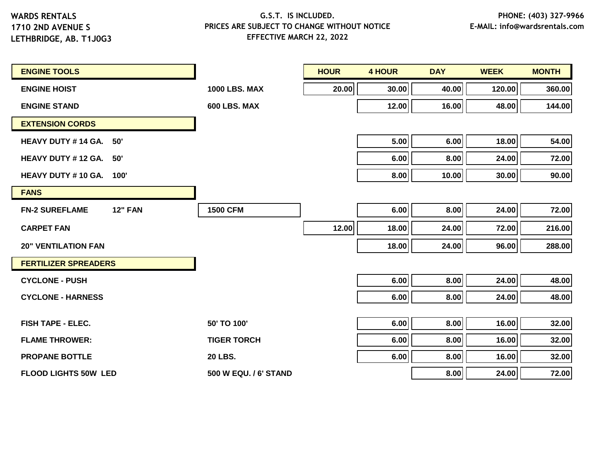**LETHBRIDGE, AB. T1J0G3**

| <b>ENGINE TOOLS</b>                     |                       | <b>HOUR</b> | <b>4 HOUR</b> | <b>DAY</b> | <b>WEEK</b> | <b>MONTH</b> |
|-----------------------------------------|-----------------------|-------------|---------------|------------|-------------|--------------|
| <b>ENGINE HOIST</b>                     | <b>1000 LBS, MAX</b>  | 20.00       | 30.00         | 40.00      | 120.00      | 360.00       |
| <b>ENGINE STAND</b>                     | 600 LBS. MAX          |             | 12.00         | 16.00      | 48.00       | 144.00       |
| <b>EXTENSION CORDS</b>                  |                       |             |               |            |             |              |
| HEAVY DUTY #14 GA. 50'                  |                       |             | 5.00          | 6.00       | 18.00       | 54.00        |
| HEAVY DUTY #12 GA. 50'                  |                       |             | 6.00          | 8.00       | 24.00       | 72.00        |
| <b>HEAVY DUTY #10 GA. 100'</b>          |                       |             | 8.00          | 10.00      | 30.00       | 90.00        |
| <b>FANS</b>                             |                       |             |               |            |             |              |
| <b>FN-2 SUREFLAME</b><br><b>12" FAN</b> | <b>1500 CFM</b>       |             | 6.00          | 8.00       | 24.00       | 72.00        |
| <b>CARPET FAN</b>                       |                       | 12.00       | 18.00         | 24.00      | 72.00       | 216.00       |
| <b>20" VENTILATION FAN</b>              |                       |             | 18.00         | 24.00      | 96.00       | 288.00       |
| <b>FERTILIZER SPREADERS</b>             |                       |             |               |            |             |              |
| <b>CYCLONE - PUSH</b>                   |                       |             | 6.00          | 8.00       | 24.00       | 48.00        |
| <b>CYCLONE - HARNESS</b>                |                       |             | 6.00          | 8.00       | 24.00       | 48.00        |
|                                         |                       |             |               |            |             |              |
| <b>FISH TAPE - ELEC.</b>                | 50' TO 100'           |             | 6.00          | 8.00       | 16.00       | 32.00        |
| <b>FLAME THROWER:</b>                   | <b>TIGER TORCH</b>    |             | 6.00          | 8.00       | 16.00       | 32.00        |
| <b>PROPANE BOTTLE</b>                   | <b>20 LBS.</b>        |             | 6.00          | 8.00       | 16.00       | 32.00        |
| <b>FLOOD LIGHTS 50W LED</b>             | 500 W EQU. / 6' STAND |             |               | 8.00       | 24.00       | 72.00        |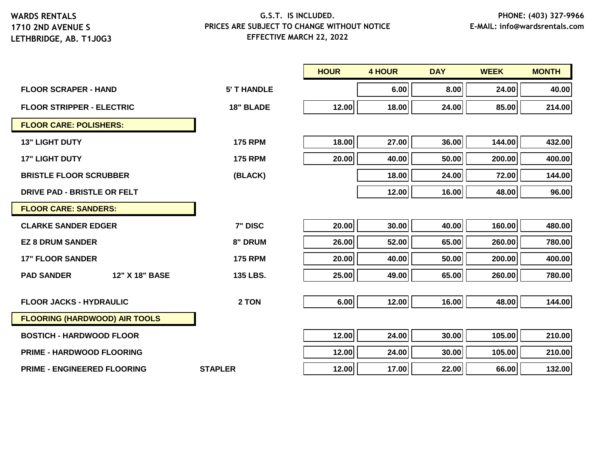|                                      |                    | <b>HOUR</b> | <b>4 HOUR</b> | <b>DAY</b> | <b>WEEK</b> | <b>MONTH</b> |
|--------------------------------------|--------------------|-------------|---------------|------------|-------------|--------------|
| <b>FLOOR SCRAPER - HAND</b>          | <b>5' T HANDLE</b> |             | 6.00          | 8.00       | 24.00       | 40.00        |
| <b>FLOOR STRIPPER - ELECTRIC</b>     | <b>18" BLADE</b>   | 12.00       | 18.00         | 24.00      | 85.00       | 214.00       |
| <b>FLOOR CARE: POLISHERS:</b>        |                    |             |               |            |             |              |
| <b>13" LIGHT DUTY</b>                | <b>175 RPM</b>     | 18.00       | 27.00         | 36.00      | 144.00      | 432.00       |
| <b>17" LIGHT DUTY</b>                | <b>175 RPM</b>     | 20.00       | 40.00         | 50.00      | 200.00      | 400.00       |
| <b>BRISTLE FLOOR SCRUBBER</b>        | (BLACK)            |             | 18.00         | 24.00      | 72.00       | 144.00       |
| DRIVE PAD - BRISTLE OR FELT          |                    |             | 12.00         | 16.00      | 48.00       | 96.00        |
| <b>FLOOR CARE: SANDERS:</b>          |                    |             |               |            |             |              |
| <b>CLARKE SANDER EDGER</b>           | 7" DISC            | 20.00       | 30.00         | 40.00      | 160.00      | 480.00       |
| <b>EZ 8 DRUM SANDER</b>              | 8" DRUM            | 26.00       | 52.00         | 65.00      | 260.00      | 780.00       |
| <b>17" FLOOR SANDER</b>              | <b>175 RPM</b>     | 20.00       | 40.00         | 50.00      | 200.00      | 400.00       |
| 12" X 18" BASE<br><b>PAD SANDER</b>  | 135 LBS.           | 25.00       | 49.00         | 65.00      | 260.00      | 780.00       |
|                                      |                    |             |               |            |             |              |
| <b>FLOOR JACKS - HYDRAULIC</b>       | 2 TON              | 6.00        | 12.00         | 16.00      | 48.00       | 144.00       |
| <b>FLOORING (HARDWOOD) AIR TOOLS</b> |                    |             |               |            |             |              |
| <b>BOSTICH - HARDWOOD FLOOR</b>      |                    | 12.00       | 24.00         | 30.00      | 105.00      | 210.00       |
| <b>PRIME - HARDWOOD FLOORING</b>     |                    | 12.00       | 24.00         | 30.00      | 105.00      | 210.00       |
| <b>PRIME - ENGINEERED FLOORING</b>   | <b>STAPLER</b>     | 12.00       | 17.00         | 22.00      | 66.00       | 132.00       |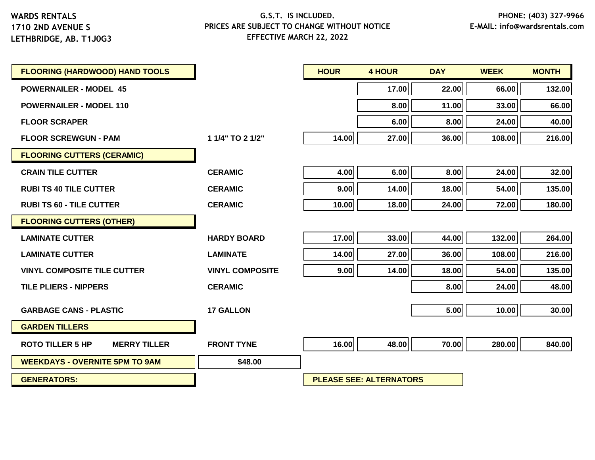| <b>FLOORING (HARDWOOD) HAND TOOLS</b>          |                        | <b>HOUR</b> | <b>4 HOUR</b>                  | <b>DAY</b> | <b>WEEK</b> | <b>MONTH</b> |
|------------------------------------------------|------------------------|-------------|--------------------------------|------------|-------------|--------------|
| <b>POWERNAILER - MODEL 45</b>                  |                        |             | 17.00                          | 22.00      | 66.00       | 132.00       |
| <b>POWERNAILER - MODEL 110</b>                 |                        |             | 8.00                           | 11.00      | 33.00       | 66.00        |
| <b>FLOOR SCRAPER</b>                           |                        |             | 6.00                           | 8.00       | 24.00       | 40.00        |
| <b>FLOOR SCREWGUN - PAM</b>                    | 1 1/4" TO 2 1/2"       | 14.00       | 27.00                          | 36.00      | 108.00      | 216.00       |
| <b>FLOORING CUTTERS (CERAMIC)</b>              |                        |             |                                |            |             |              |
| <b>CRAIN TILE CUTTER</b>                       | <b>CERAMIC</b>         | 4.00        | 6.00                           | 8.00       | 24.00       | 32.00        |
| <b>RUBI TS 40 TILE CUTTER</b>                  | <b>CERAMIC</b>         | 9.00        | 14.00                          | 18.00      | 54.00       | 135.00       |
| <b>RUBI TS 60 - TILE CUTTER</b>                | <b>CERAMIC</b>         | 10.00       | 18.00                          | 24.00      | 72.00       | 180.00       |
| <b>FLOORING CUTTERS (OTHER)</b>                |                        |             |                                |            |             |              |
| <b>LAMINATE CUTTER</b>                         | <b>HARDY BOARD</b>     | 17.00       | 33.00                          | 44.00      | 132.00      | 264.00       |
| <b>LAMINATE CUTTER</b>                         | <b>LAMINATE</b>        | 14.00       | 27.00                          | 36.00      | 108.00      | 216.00       |
| <b>VINYL COMPOSITE TILE CUTTER</b>             | <b>VINYL COMPOSITE</b> | 9.00        | 14.00                          | 18.00      | 54.00       | 135.00       |
| <b>TILE PLIERS - NIPPERS</b>                   | <b>CERAMIC</b>         |             |                                | 8.00       | 24.00       | 48.00        |
| <b>GARBAGE CANS - PLASTIC</b>                  | <b>17 GALLON</b>       |             |                                | 5.00       | 10.00       | 30.00        |
| <b>GARDEN TILLERS</b>                          |                        |             |                                |            |             |              |
| <b>ROTO TILLER 5 HP</b><br><b>MERRY TILLER</b> | <b>FRONT TYNE</b>      | 16.00       | 48.00                          | 70.00      | 280.00      | 840.00       |
| <b>WEEKDAYS - OVERNITE 5PM TO 9AM</b>          | \$48.00                |             |                                |            |             |              |
| <b>GENERATORS:</b>                             |                        |             | <b>PLEASE SEE: ALTERNATORS</b> |            |             |              |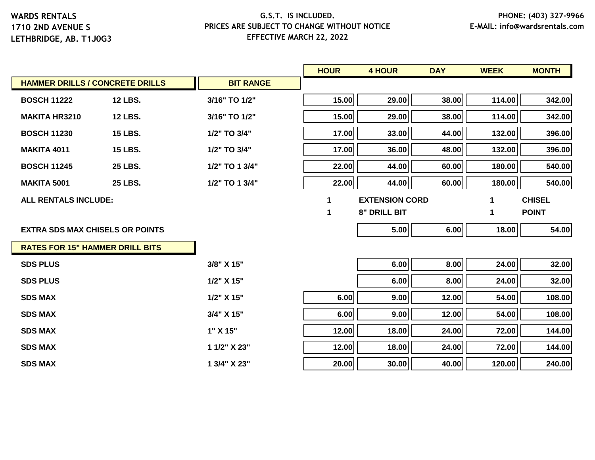|                                        |                |                  | <b>HOUR</b> | <b>4 HOUR</b>         | <b>DAY</b> | <b>WEEK</b> | <b>MONTH</b>  |
|----------------------------------------|----------------|------------------|-------------|-----------------------|------------|-------------|---------------|
| <b>HAMMER DRILLS / CONCRETE DRILLS</b> |                | <b>BIT RANGE</b> |             |                       |            |             |               |
| <b>BOSCH 11222</b>                     | <b>12 LBS.</b> | 3/16" TO 1/2"    | 15.00       | 29.00                 | 38.00      | 114.00      | 342.00        |
| <b>MAKITA HR3210</b>                   | <b>12 LBS.</b> | 3/16" TO 1/2"    | 15.00       | 29.00                 | 38.00      | 114.00      | 342.00        |
| <b>BOSCH 11230</b>                     | <b>15 LBS.</b> | 1/2" TO 3/4"     | 17.00       | 33.00                 | 44.00      | 132.00      | 396.00        |
| <b>MAKITA 4011</b>                     | <b>15 LBS.</b> | 1/2" TO 3/4"     | 17.00       | 36.00                 | 48.00      | 132.00      | 396.00        |
| <b>BOSCH 11245</b>                     | <b>25 LBS.</b> | 1/2" TO 1 3/4"   | 22.00       | 44.00                 | 60.00      | 180.00      | 540.00        |
| <b>MAKITA 5001</b>                     | <b>25 LBS.</b> | 1/2" TO 1 3/4"   | 22.00       | 44.00                 | 60.00      | 180.00      | 540.00        |
| <b>ALL RENTALS INCLUDE:</b>            |                |                  | $\mathbf 1$ | <b>EXTENSION CORD</b> |            | 1           | <b>CHISEL</b> |
|                                        |                |                  | 1           | <b>8" DRILL BIT</b>   |            | 1           | <b>POINT</b>  |
| <b>EXTRA SDS MAX CHISELS OR POINTS</b> |                |                  |             | 5.00                  | 6.00       | 18.00       | 54.00         |
| <b>RATES FOR 15" HAMMER DRILL BITS</b> |                |                  |             |                       |            |             |               |
| <b>SDS PLUS</b>                        |                | 3/8" X 15"       |             | 6.00                  | 8.00       | 24.00       | 32.00         |
| <b>SDS PLUS</b>                        |                | 1/2" X 15"       |             | 6.00                  | 8.00       | 24.00       | 32.00         |
| <b>SDS MAX</b>                         |                | 1/2" X 15"       | 6.00        | 9.00                  | 12.00      | 54.00       | 108.00        |
| <b>SDS MAX</b>                         |                | 3/4" X 15"       | 6.00        | 9.00                  | 12.00      | 54.00       | 108.00        |
| <b>SDS MAX</b>                         |                | 1" X 15"         | 12.00       | 18.00                 | 24.00      | 72.00       | 144.00        |
| <b>SDS MAX</b>                         |                | 1 1/2" X 23"     | 12.00       | 18.00                 | 24.00      | 72.00       | 144.00        |
| <b>SDS MAX</b>                         |                | 1 3/4" X 23"     | 20.00       | 30.00                 | 40.00      | 120.00      | 240.00        |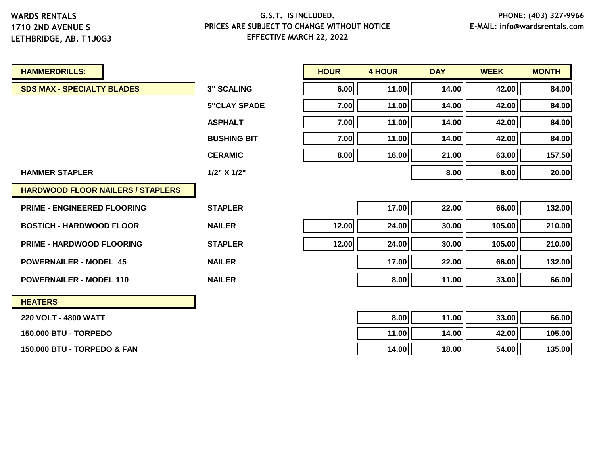#### **G.S.T. IS INCLUDED. PRICES ARE SUBJECT TO CHANGE WITHOUT NOTICE EFFECTIVE MARCH 22, 2022**

| <b>HAMMERDRILLS:</b>                     |                     | <b>HOUR</b> | <b>4 HOUR</b> | <b>DAY</b> | <b>WEEK</b> | <b>MONTH</b> |
|------------------------------------------|---------------------|-------------|---------------|------------|-------------|--------------|
| <b>SDS MAX - SPECIALTY BLADES</b>        | <b>3" SCALING</b>   | 6.00        | 11.00         | 14.00      | 42.00       | 84.00        |
|                                          | <b>5"CLAY SPADE</b> | 7.00        | 11.00         | 14.00      | 42.00       | 84.00        |
|                                          | <b>ASPHALT</b>      | 7.00        | 11.00         | 14.00      | 42.00       | 84.00        |
|                                          | <b>BUSHING BIT</b>  | 7.00        | 11.00         | 14.00      | 42.00       | 84.00        |
|                                          | <b>CERAMIC</b>      | 8.00        | 16.00         | 21.00      | 63.00       | 157.50       |
| <b>HAMMER STAPLER</b>                    | 1/2" X 1/2"         |             |               | 8.00       | 8.00        | 20.00        |
| <b>HARDWOOD FLOOR NAILERS / STAPLERS</b> |                     |             |               |            |             |              |
| <b>PRIME - ENGINEERED FLOORING</b>       | <b>STAPLER</b>      |             | 17.00         | 22.00      | 66.00       | 132.00       |
| <b>BOSTICH - HARDWOOD FLOOR</b>          | <b>NAILER</b>       | 12.00       | 24.00         | 30.00      | 105.00      | 210.00       |
| <b>PRIME - HARDWOOD FLOORING</b>         | <b>STAPLER</b>      | 12.00       | 24.00         | 30.00      | 105.00      | 210.00       |
| <b>POWERNAILER - MODEL 45</b>            | <b>NAILER</b>       |             | 17.00         | 22.00      | 66.00       | 132.00       |
| <b>POWERNAILER - MODEL 110</b>           | <b>NAILER</b>       |             | 8.00          | 11.00      | 33.00       | 66.00        |
| <b>HEATERS</b>                           |                     |             |               |            |             |              |
| 220 VOLT - 4800 WATT                     |                     |             | 8.00          | 11.00      | 33.00       | 66.00        |
| <b>150,000 BTU - TORPEDO</b>             |                     |             | 11.00         | 14.00      | 42.00       | 105.00       |

**150,000 BTU - TORPEDO & FAN 14.00 18.00 54.00 135.00**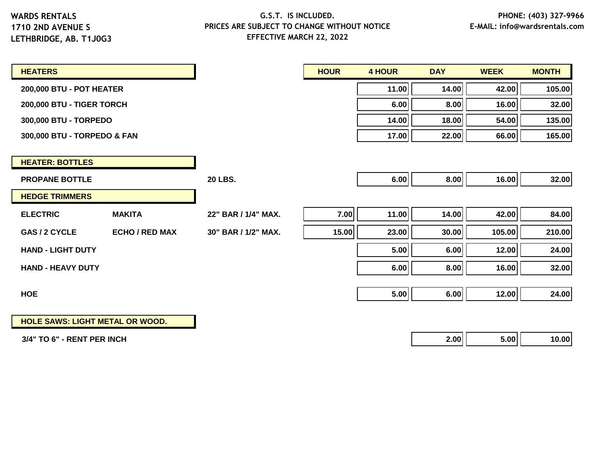#### **G.S.T. IS INCLUDED. PRICES ARE SUBJECT TO CHANGE WITHOUT NOTICE EFFECTIVE MARCH 22, 2022**

| <b>HEATERS</b>              |                       |                     | <b>HOUR</b> | <b>4 HOUR</b> | <b>DAY</b> | <b>WEEK</b> | <b>MONTH</b> |
|-----------------------------|-----------------------|---------------------|-------------|---------------|------------|-------------|--------------|
| 200,000 BTU - POT HEATER    |                       |                     |             | 11.00         | 14.00      | 42.00       | 105.00       |
| 200,000 BTU - TIGER TORCH   |                       |                     |             | 6.00          | 8.00       | 16.00       | 32.00        |
| 300,000 BTU - TORPEDO       |                       |                     |             | 14.00         | 18.00      | 54.00       | 135.00       |
| 300,000 BTU - TORPEDO & FAN |                       |                     |             | 17.00         | 22.00      | 66.00       | 165.00       |
|                             |                       |                     |             |               |            |             |              |
| <b>HEATER: BOTTLES</b>      |                       |                     |             |               |            |             |              |
| <b>PROPANE BOTTLE</b>       |                       | <b>20 LBS.</b>      |             | 6.00          | 8.00       | 16.00       | 32.00        |
| <b>HEDGE TRIMMERS</b>       |                       |                     |             |               |            |             |              |
| <b>ELECTRIC</b>             | <b>MAKITA</b>         | 22" BAR / 1/4" MAX. | 7.00        | 11.00         | 14.00      | 42.00       | 84.00        |
| GAS / 2 CYCLE               | <b>ECHO / RED MAX</b> | 30" BAR / 1/2" MAX. | 15.00       | 23.00         | 30.00      | 105.00      | 210.00       |
| <b>HAND - LIGHT DUTY</b>    |                       |                     |             | 5.00          | 6.00       | 12.00       | 24.00        |
| <b>HAND - HEAVY DUTY</b>    |                       |                     |             | 6.00          | 8.00       | 16.00       | 32.00        |
|                             |                       |                     |             |               |            |             |              |
| <b>HOE</b>                  |                       |                     |             | 5.00          | 6.00       | 12.00       | 24.00        |
|                             |                       |                     |             |               |            |             |              |

**HOLE SAWS: LIGHT METAL OR WOOD.**

 **3/4" TO 6" - RENT PER INCH 2.00 5.00 10.00**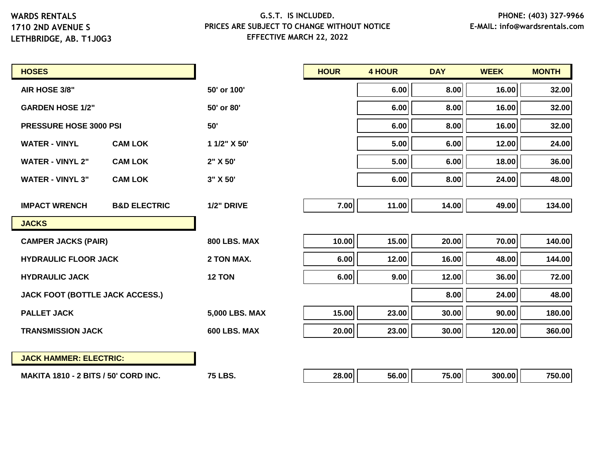**LETHBRIDGE, AB. T1J0G3**

| <b>HOSES</b>                                |                         |                     | <b>HOUR</b> | <b>4 HOUR</b> | <b>DAY</b> | <b>WEEK</b> | <b>MONTH</b> |
|---------------------------------------------|-------------------------|---------------------|-------------|---------------|------------|-------------|--------------|
| AIR HOSE 3/8"                               |                         | 50' or 100'         |             | 6.00          | 8.00       | 16.00       | 32.00        |
| <b>GARDEN HOSE 1/2"</b>                     |                         | 50' or 80'          |             | 6.00          | 8.00       | 16.00       | 32.00        |
| <b>PRESSURE HOSE 3000 PSI</b>               |                         | 50'                 |             | 6.00          | 8.00       | 16.00       | 32.00        |
| <b>WATER - VINYL</b>                        | <b>CAM LOK</b>          | 1 1/2" X 50'        |             | 5.00          | 6.00       | 12.00       | 24.00        |
| <b>WATER - VINYL 2"</b>                     | <b>CAM LOK</b>          | 2" X 50'            |             | 5.00          | 6.00       | 18.00       | 36.00        |
| <b>WATER - VINYL 3"</b>                     | <b>CAM LOK</b>          | 3" X 50'            |             | 6.00          | 8.00       | 24.00       | 48.00        |
|                                             |                         |                     |             |               |            |             |              |
| <b>IMPACT WRENCH</b>                        | <b>B&amp;D ELECTRIC</b> | 1/2" DRIVE          | 7.00        | 11.00         | 14.00      | 49.00       | 134.00       |
| <b>JACKS</b>                                |                         |                     |             |               |            |             |              |
| <b>CAMPER JACKS (PAIR)</b>                  |                         | <b>800 LBS. MAX</b> | 10.00       | 15.00         | 20.00      | 70.00       | 140.00       |
| <b>HYDRAULIC FLOOR JACK</b>                 |                         | 2 TON MAX.          | 6.00        | 12.00         | 16.00      | 48.00       | 144.00       |
| <b>HYDRAULIC JACK</b>                       |                         | 12 TON              | 6.00        | 9.00          | 12.00      | 36.00       | 72.00        |
| JACK FOOT (BOTTLE JACK ACCESS.)             |                         |                     |             |               | 8.00       | 24.00       | 48.00        |
| <b>PALLET JACK</b>                          |                         | 5,000 LBS. MAX      | 15.00       | 23.00         | 30.00      | 90.00       | 180.00       |
| <b>TRANSMISSION JACK</b>                    |                         | 600 LBS. MAX        | 20.00       | 23.00         | 30.00      | 120.00      | 360.00       |
|                                             |                         |                     |             |               |            |             |              |
| <b>JACK HAMMER: ELECTRIC:</b>               |                         |                     |             |               |            |             |              |
| <b>MAKITA 1810 - 2 BITS / 50' CORD INC.</b> |                         | <b>75 LBS.</b>      | 28.00       | 56.00         | 75.00      | 300.00      | 750.00       |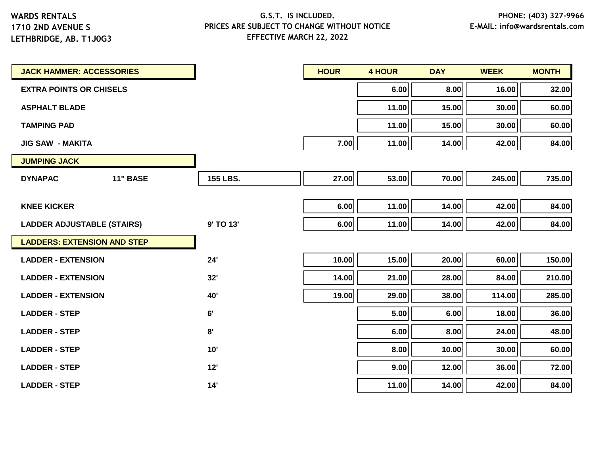**LETHBRIDGE, AB. T1J0G3**

| <b>JACK HAMMER: ACCESSORIES</b>    |                 | <b>HOUR</b> | <b>4 HOUR</b> | <b>DAY</b> | <b>WEEK</b> | <b>MONTH</b> |
|------------------------------------|-----------------|-------------|---------------|------------|-------------|--------------|
| <b>EXTRA POINTS OR CHISELS</b>     |                 |             | 6.00          | 8.00       | 16.00       | 32.00        |
| <b>ASPHALT BLADE</b>               |                 |             | 11.00         | 15.00      | 30.00       | 60.00        |
| <b>TAMPING PAD</b>                 |                 |             | 11.00         | 15.00      | 30.00       | 60.00        |
| <b>JIG SAW - MAKITA</b>            |                 | 7.00        | 11.00         | 14.00      | 42.00       | 84.00        |
| <b>JUMPING JACK</b>                |                 |             |               |            |             |              |
| <b>DYNAPAC</b><br><b>11" BASE</b>  | <b>155 LBS.</b> | 27.00       | 53.00         | 70.00      | 245.00      | 735.00       |
|                                    |                 |             |               |            |             |              |
| <b>KNEE KICKER</b>                 |                 | 6.00        | 11.00         | 14.00      | 42.00       | 84.00        |
| <b>LADDER ADJUSTABLE (STAIRS)</b>  | 9' TO 13'       | 6.00        | 11.00         | 14.00      | 42.00       | 84.00        |
| <b>LADDERS: EXTENSION AND STEP</b> |                 |             |               |            |             |              |
| <b>LADDER - EXTENSION</b>          | 24'             | 10.00       | 15.00         | 20.00      | 60.00       | 150.00       |
| <b>LADDER - EXTENSION</b>          | 32'             | 14.00       | 21.00         | 28.00      | 84.00       | 210.00       |
| <b>LADDER - EXTENSION</b>          | 40'             | 19.00       | 29.00         | 38.00      | 114.00      | 285.00       |
| <b>LADDER - STEP</b>               | 6'              |             | 5.00          | 6.00       | 18.00       | 36.00        |
| <b>LADDER - STEP</b>               | 8'              |             | 6.00          | 8.00       | 24.00       | 48.00        |
| <b>LADDER - STEP</b>               | 10'             |             | 8.00          | 10.00      | 30.00       | 60.00        |
| <b>LADDER - STEP</b>               | 12'             |             | 9.00          | 12.00      | 36.00       | 72.00        |
| <b>LADDER - STEP</b>               | 14'             |             | 11.00         | 14.00      | 42.00       | 84.00        |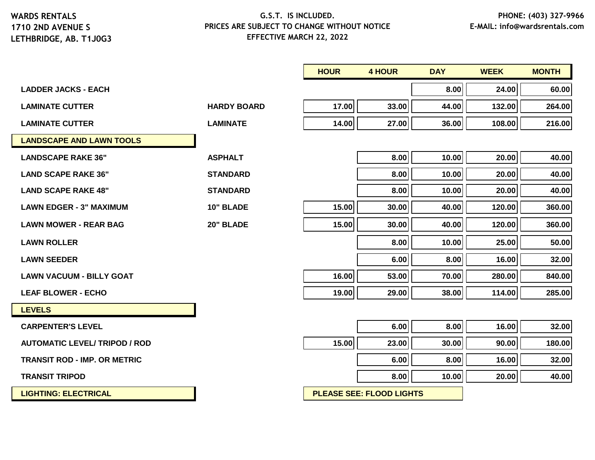#### **G.S.T. IS INCLUDED. PRICES ARE SUBJECT TO CHANGE WITHOUT NOTICE EFFECTIVE MARCH 22, 2022**

|                                      |                    | <b>HOUR</b> | <b>4 HOUR</b> | <b>DAY</b> | <b>WEEK</b> | <b>MONTH</b> |
|--------------------------------------|--------------------|-------------|---------------|------------|-------------|--------------|
| <b>LADDER JACKS - EACH</b>           |                    |             |               | 8.00       | 24.00       | 60.00        |
| <b>LAMINATE CUTTER</b>               | <b>HARDY BOARD</b> | 17.00       | 33.00         | 44.00      | 132.00      | 264.00       |
| <b>LAMINATE CUTTER</b>               | <b>LAMINATE</b>    | 14.00       | 27.00         | 36.00      | 108.00      | 216.00       |
| <b>LANDSCAPE AND LAWN TOOLS</b>      |                    |             |               |            |             |              |
| <b>LANDSCAPE RAKE 36"</b>            | <b>ASPHALT</b>     |             | 8.00          | 10.00      | 20.00       | 40.00        |
| <b>LAND SCAPE RAKE 36"</b>           | <b>STANDARD</b>    |             | 8.00          | 10.00      | 20.00       | 40.00        |
| <b>LAND SCAPE RAKE 48"</b>           | <b>STANDARD</b>    |             | 8.00          | 10.00      | 20.00       | 40.00        |
| <b>LAWN EDGER - 3" MAXIMUM</b>       | 10" BLADE          | 15.00       | 30.00         | 40.00      | 120.00      | 360.00       |
| <b>LAWN MOWER - REAR BAG</b>         | 20" BLADE          | 15.00       | 30.00         | 40.00      | 120.00      | 360.00       |
| <b>LAWN ROLLER</b>                   |                    |             | 8.00          | 10.00      | 25.00       | 50.00        |
| <b>LAWN SEEDER</b>                   |                    |             | 6.00          | 8.00       | 16.00       | 32.00        |
| <b>LAWN VACUUM - BILLY GOAT</b>      |                    | 16.00       | 53.00         | 70.00      | 280.00      | 840.00       |
| <b>LEAF BLOWER - ECHO</b>            |                    | 19.00       | 29.00         | 38.00      | 114.00      | 285.00       |
| <b>LEVELS</b>                        |                    |             |               |            |             |              |
| <b>CARPENTER'S LEVEL</b>             |                    |             | 6.00          | 8.00       | 16.00       | 32.00        |
| <b>AUTOMATIC LEVEL/ TRIPOD / ROD</b> |                    | 15.00       | 23.00         | 30.00      | 90.00       | 180.00       |
| <b>TRANSIT ROD - IMP. OR METRIC</b>  |                    |             | 6.00          | 8.00       | 16.00       | 32.00        |

**TRANSIT TRIPOD 8.00 10.00 20.00 40.00**

**LIGHTING: ELECTRICAL PLEASE SEE: FLOOD LIGHTS**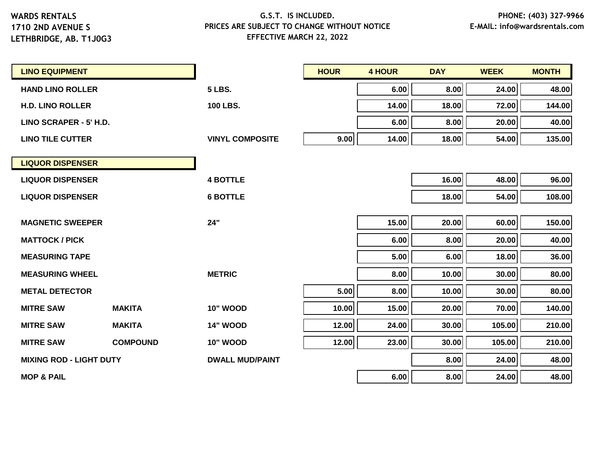**LETHBRIDGE, AB. T1J0G3**

| <b>LINO EQUIPMENT</b>          |                 |                        | <b>HOUR</b> | <b>4 HOUR</b> | <b>DAY</b> | <b>WEEK</b> | <b>MONTH</b> |
|--------------------------------|-----------------|------------------------|-------------|---------------|------------|-------------|--------------|
| <b>HAND LINO ROLLER</b>        |                 | <b>5 LBS.</b>          |             | 6.00          | 8.00       | 24.00       | 48.00        |
| <b>H.D. LINO ROLLER</b>        |                 | 100 LBS.               |             | 14.00         | 18.00      | 72.00       | 144.00       |
| LINO SCRAPER - 5' H.D.         |                 |                        |             | 6.00          | 8.00       | 20.00       | 40.00        |
| <b>LINO TILE CUTTER</b>        |                 | <b>VINYL COMPOSITE</b> | 9.00        | 14.00         | 18.00      | 54.00       | 135.00       |
| <b>LIQUOR DISPENSER</b>        |                 |                        |             |               |            |             |              |
| <b>LIQUOR DISPENSER</b>        |                 | <b>4 BOTTLE</b>        |             |               | 16.00      | 48.00       | 96.00        |
| <b>LIQUOR DISPENSER</b>        |                 | <b>6 BOTTLE</b>        |             |               | 18.00      | 54.00       | 108.00       |
|                                |                 |                        |             |               |            |             |              |
| <b>MAGNETIC SWEEPER</b>        |                 | 24"                    |             | 15.00         | 20.00      | 60.00       | 150.00       |
| <b>MATTOCK / PICK</b>          |                 |                        |             | 6.00          | 8.00       | 20.00       | 40.00        |
| <b>MEASURING TAPE</b>          |                 |                        |             | 5.00          | 6.00       | 18.00       | 36.00        |
| <b>MEASURING WHEEL</b>         |                 | <b>METRIC</b>          |             | 8.00          | 10.00      | 30.00       | 80.00        |
| <b>METAL DETECTOR</b>          |                 |                        | 5.00        | 8.00          | 10.00      | 30.00       | 80.00        |
| <b>MITRE SAW</b>               | <b>MAKITA</b>   | <b>10" WOOD</b>        | 10.00       | 15.00         | 20.00      | 70.00       | 140.00       |
| <b>MITRE SAW</b>               | <b>MAKITA</b>   | <b>14" WOOD</b>        | 12.00       | 24.00         | 30.00      | 105.00      | 210.00       |
| <b>MITRE SAW</b>               | <b>COMPOUND</b> | <b>10" WOOD</b>        | 12.00       | 23.00         | 30.00      | 105.00      | 210.00       |
| <b>MIXING ROD - LIGHT DUTY</b> |                 | <b>DWALL MUD/PAINT</b> |             |               | 8.00       | 24.00       | 48.00        |
| <b>MOP &amp; PAIL</b>          |                 |                        |             | 6.00          | 8.00       | 24.00       | 48.00        |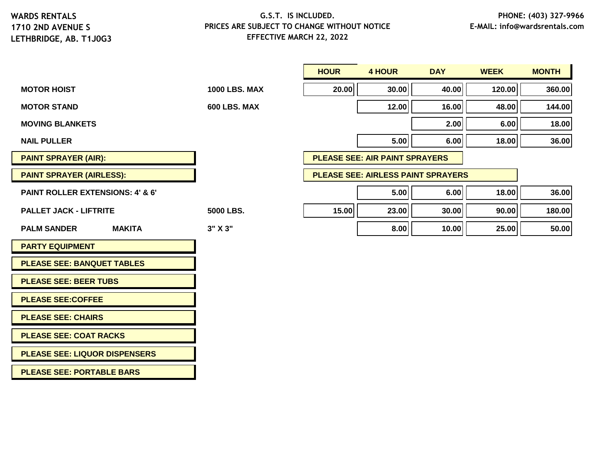# **G.S.T. IS INCLUDED. PRICES ARE SUBJECT TO CHANGE WITHOUT NOTICE EFFECTIVE MARCH 22, 2022**

|                                             |                      | <b>HOUR</b> | <b>4 HOUR</b>                             | <b>DAY</b> | <b>WEEK</b> | <b>MONTH</b> |
|---------------------------------------------|----------------------|-------------|-------------------------------------------|------------|-------------|--------------|
| <b>MOTOR HOIST</b>                          | <b>1000 LBS. MAX</b> | 20.00       | 30.00                                     | 40.00      | 120.00      | 360.00       |
| <b>MOTOR STAND</b>                          | 600 LBS. MAX         |             | 12.00                                     | 16.00      | 48.00       | 144.00       |
| <b>MOVING BLANKETS</b>                      |                      |             |                                           | 2.00       | 6.00        | 18.00        |
| <b>NAIL PULLER</b>                          |                      |             | 5.00                                      | 6.00       | 18.00       | 36.00        |
| <b>PAINT SPRAYER (AIR):</b>                 |                      |             | <b>PLEASE SEE: AIR PAINT SPRAYERS</b>     |            |             |              |
| <b>PAINT SPRAYER (AIRLESS):</b>             |                      |             | <b>PLEASE SEE: AIRLESS PAINT SPRAYERS</b> |            |             |              |
| <b>PAINT ROLLER EXTENSIONS: 4' &amp; 6'</b> |                      |             | 5.00                                      | 6.00       | 18.00       | 36.00        |
| <b>PALLET JACK - LIFTRITE</b>               | 5000 LBS.            | 15.00       | 23.00                                     | 30.00      | 90.00       | 180.00       |
| <b>MAKITA</b><br><b>PALM SANDER</b>         | 3" X 3"              |             | 8.00                                      | 10.00      | 25.00       | 50.00        |
| <b>PARTY EQUIPMENT</b>                      |                      |             |                                           |            |             |              |
| <b>PLEASE SEE: BANQUET TABLES</b>           |                      |             |                                           |            |             |              |
| <b>PLEASE SEE: BEER TUBS</b>                |                      |             |                                           |            |             |              |
| <b>PLEASE SEE:COFFEE</b>                    |                      |             |                                           |            |             |              |
| <b>PLEASE SEE: CHAIRS</b>                   |                      |             |                                           |            |             |              |
| <b>PLEASE SEE: COAT RACKS</b>               |                      |             |                                           |            |             |              |
| <b>PLEASE SEE: LIQUOR DISPENSERS</b>        |                      |             |                                           |            |             |              |

**PLEASE SEE: PORTABLE BARS**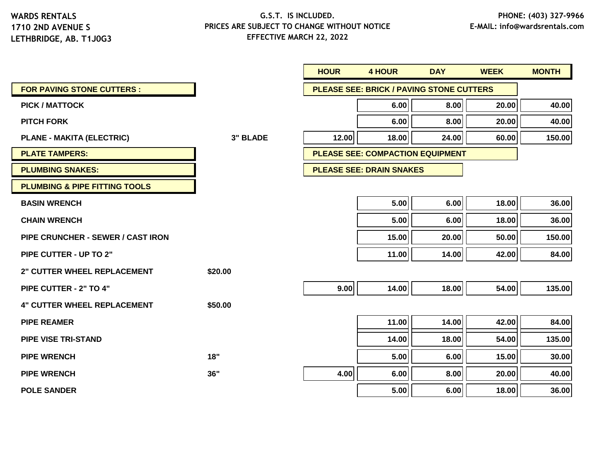|                                          |                 | <b>HOUR</b> | <b>4 HOUR</b>                   | <b>DAY</b>                                      | <b>WEEK</b> | <b>MONTH</b> |
|------------------------------------------|-----------------|-------------|---------------------------------|-------------------------------------------------|-------------|--------------|
| <b>FOR PAVING STONE CUTTERS:</b>         |                 |             |                                 | <b>PLEASE SEE: BRICK / PAVING STONE CUTTERS</b> |             |              |
| <b>PICK / MATTOCK</b>                    |                 |             | 6.00                            | 8.00                                            | 20.00       | 40.00        |
| <b>PITCH FORK</b>                        |                 |             | 6.00                            | 8.00                                            | 20.00       | 40.00        |
| <b>PLANE - MAKITA (ELECTRIC)</b>         | <b>3" BLADE</b> | 12.00       | 18.00                           | 24.00                                           | 60.00       | 150.00       |
| <b>PLATE TAMPERS:</b>                    |                 |             |                                 | <b>PLEASE SEE: COMPACTION EQUIPMENT</b>         |             |              |
| <b>PLUMBING SNAKES:</b>                  |                 |             | <b>PLEASE SEE: DRAIN SNAKES</b> |                                                 |             |              |
| <b>PLUMBING &amp; PIPE FITTING TOOLS</b> |                 |             |                                 |                                                 |             |              |
| <b>BASIN WRENCH</b>                      |                 |             | 5.00                            | 6.00                                            | 18.00       | 36.00        |
| <b>CHAIN WRENCH</b>                      |                 |             | 5.00                            | 6.00                                            | 18.00       | 36.00        |
| <b>PIPE CRUNCHER - SEWER / CAST IRON</b> |                 |             | 15.00                           | 20.00                                           | 50.00       | 150.00       |
| <b>PIPE CUTTER - UP TO 2"</b>            |                 |             | 11.00                           | 14.00                                           | 42.00       | 84.00        |
| <b>2" CUTTER WHEEL REPLACEMENT</b>       | \$20.00         |             |                                 |                                                 |             |              |
| PIPE CUTTER - 2" TO 4"                   |                 | 9.00        | 14.00                           | 18.00                                           | 54.00       | 135.00       |
| <b>4" CUTTER WHEEL REPLACEMENT</b>       | \$50.00         |             |                                 |                                                 |             |              |
| <b>PIPE REAMER</b>                       |                 |             | 11.00                           | 14.00                                           | 42.00       | 84.00        |
| <b>PIPE VISE TRI-STAND</b>               |                 |             | 14.00                           | 18.00                                           | 54.00       | 135.00       |
| <b>PIPE WRENCH</b>                       | 18"             |             | 5.00                            | 6.00                                            | 15.00       | 30.00        |
| <b>PIPE WRENCH</b>                       | 36"             | 4.00        | 6.00                            | 8.00                                            | 20.00       | 40.00        |
| <b>POLE SANDER</b>                       |                 |             | 5.00                            | 6.00                                            | 18.00       | 36.00        |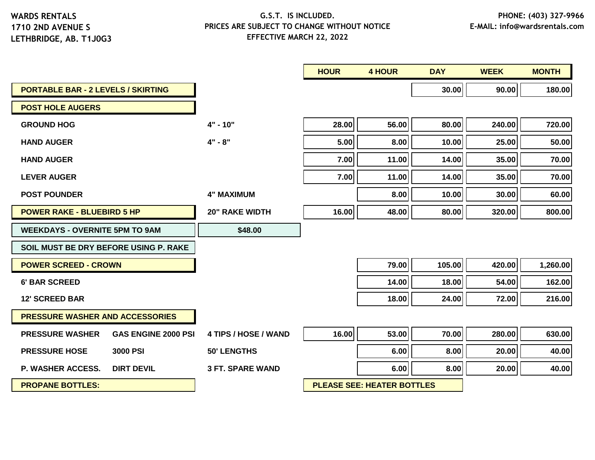|                                                      |                         | <b>HOUR</b> | <b>4 HOUR</b>                     | <b>DAY</b> | <b>WEEK</b> | <b>MONTH</b> |
|------------------------------------------------------|-------------------------|-------------|-----------------------------------|------------|-------------|--------------|
| <b>PORTABLE BAR - 2 LEVELS / SKIRTING</b>            |                         |             |                                   | 30.00      | 90.00       | 180.00       |
| <b>POST HOLE AUGERS</b>                              |                         |             |                                   |            |             |              |
| <b>GROUND HOG</b>                                    | $4" - 10"$              | 28.00       | 56.00                             | 80.00      | 240.00      | 720.00       |
| <b>HAND AUGER</b>                                    | $4" - 8"$               | 5.00        | 8.00                              | 10.00      | 25.00       | 50.00        |
| <b>HAND AUGER</b>                                    |                         | 7.00        | 11.00                             | 14.00      | 35.00       | 70.00        |
| <b>LEVER AUGER</b>                                   |                         | 7.00        | 11.00                             | 14.00      | 35.00       | 70.00        |
| <b>POST POUNDER</b>                                  | <b>4" MAXIMUM</b>       |             | 8.00                              | 10.00      | 30.00       | 60.00        |
| <b>POWER RAKE - BLUEBIRD 5 HP</b>                    | <b>20" RAKE WIDTH</b>   | 16.00       | 48.00                             | 80.00      | 320.00      | 800.00       |
| <b>WEEKDAYS - OVERNITE 5PM TO 9AM</b>                | \$48.00                 |             |                                   |            |             |              |
| SOIL MUST BE DRY BEFORE USING P. RAKE                |                         |             |                                   |            |             |              |
| <b>POWER SCREED - CROWN</b>                          |                         |             | 79.00                             | 105.00     | 420.00      | 1,260.00     |
| <b>6' BAR SCREED</b>                                 |                         |             | 14.00                             | 18.00      | 54.00       | 162.00       |
| <b>12' SCREED BAR</b>                                |                         |             | 18.00                             | 24.00      | 72.00       | 216.00       |
| <b>PRESSURE WASHER AND ACCESSORIES</b>               |                         |             |                                   |            |             |              |
| <b>GAS ENGINE 2000 PSI</b><br><b>PRESSURE WASHER</b> | 4 TIPS / HOSE / WAND    | 16.00       | 53.00                             | 70.00      | 280.00      | 630.00       |
| <b>PRESSURE HOSE</b><br><b>3000 PSI</b>              | <b>50' LENGTHS</b>      |             | 6.00                              | 8.00       | 20.00       | 40.00        |
| <b>P. WASHER ACCESS.</b><br><b>DIRT DEVIL</b>        | <b>3 FT. SPARE WAND</b> |             | 6.00                              | 8.00       | 20.00       | 40.00        |
| <b>PROPANE BOTTLES:</b>                              |                         |             | <b>PLEASE SEE: HEATER BOTTLES</b> |            |             |              |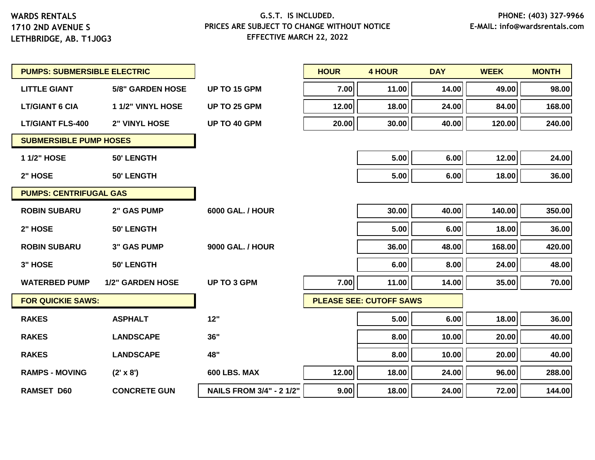| <b>PUMPS: SUBMERSIBLE ELECTRIC</b> |                         |                                 | <b>HOUR</b> | <b>4 HOUR</b>                  | <b>DAY</b> | <b>WEEK</b> | <b>MONTH</b> |
|------------------------------------|-------------------------|---------------------------------|-------------|--------------------------------|------------|-------------|--------------|
| <b>LITTLE GIANT</b>                | <b>5/8" GARDEN HOSE</b> | <b>UP TO 15 GPM</b>             | 7.00        | 11.00                          | 14.00      | 49.00       | 98.00        |
| <b>LT/GIANT 6 CIA</b>              | 1 1/2" VINYL HOSE       | UP TO 25 GPM                    | 12.00       | 18.00                          | 24.00      | 84.00       | 168.00       |
| <b>LT/GIANT FLS-400</b>            | <b>2" VINYL HOSE</b>    | UP TO 40 GPM                    | 20.00       | 30.00                          | 40.00      | 120.00      | 240.00       |
| <b>SUBMERSIBLE PUMP HOSES</b>      |                         |                                 |             |                                |            |             |              |
| 1 1/2" HOSE                        | <b>50' LENGTH</b>       |                                 |             | 5.00                           | 6.00       | 12.00       | 24.00        |
| 2" HOSE                            | 50' LENGTH              |                                 |             | 5.00                           | 6.00       | 18.00       | 36.00        |
| <b>PUMPS: CENTRIFUGAL GAS</b>      |                         |                                 |             |                                |            |             |              |
| <b>ROBIN SUBARU</b>                | <b>2" GAS PUMP</b>      | <b>6000 GAL. / HOUR</b>         |             | 30.00                          | 40.00      | 140.00      | 350.00       |
| 2" HOSE                            | 50' LENGTH              |                                 |             | 5.00                           | 6.00       | 18.00       | 36.00        |
| <b>ROBIN SUBARU</b>                | <b>3" GAS PUMP</b>      | <b>9000 GAL. / HOUR</b>         |             | 36.00                          | 48.00      | 168.00      | 420.00       |
| 3" HOSE                            | <b>50' LENGTH</b>       |                                 |             | 6.00                           | 8.00       | 24.00       | 48.00        |
| <b>WATERBED PUMP</b>               | <b>1/2" GARDEN HOSE</b> | <b>UP TO 3 GPM</b>              | 7.00        | 11.00                          | 14.00      | 35.00       | 70.00        |
| <b>FOR QUICKIE SAWS:</b>           |                         |                                 |             | <b>PLEASE SEE: CUTOFF SAWS</b> |            |             |              |
| <b>RAKES</b>                       | <b>ASPHALT</b>          | 12"                             |             | 5.00                           | 6.00       | 18.00       | 36.00        |
| <b>RAKES</b>                       | <b>LANDSCAPE</b>        | 36"                             |             | 8.00                           | 10.00      | 20.00       | 40.00        |
| <b>RAKES</b>                       | <b>LANDSCAPE</b>        | 48"                             |             | 8.00                           | 10.00      | 20.00       | 40.00        |
| <b>RAMPS - MOVING</b>              | $(2' \times 8')$        | 600 LBS. MAX                    | 12.00       | 18.00                          | 24.00      | 96.00       | 288.00       |
| <b>RAMSET D60</b>                  | <b>CONCRETE GUN</b>     | <b>NAILS FROM 3/4" - 2 1/2"</b> | 9.00        | 18.00                          | 24.00      | 72.00       | 144.00       |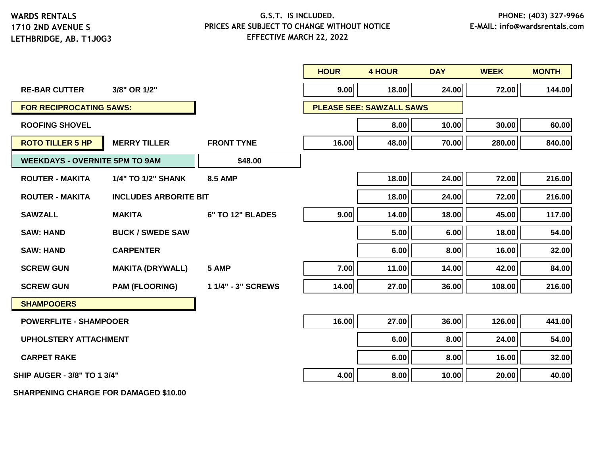# **LETHBRIDGE, AB. T1J0G3**

#### **G.S.T. IS INCLUDED. PRICES ARE SUBJECT TO CHANGE WITHOUT NOTICE EFFECTIVE MARCH 22, 2022**

|                                       |                              |                    | <b>HOUR</b> | <b>4 HOUR</b>                   | <b>DAY</b> | <b>WEEK</b> | <b>MONTH</b> |
|---------------------------------------|------------------------------|--------------------|-------------|---------------------------------|------------|-------------|--------------|
| <b>RE-BAR CUTTER</b>                  | 3/8" OR 1/2"                 |                    | 9.00        | 18.00                           | 24.00      | 72.00       | 144.00       |
| <b>FOR RECIPROCATING SAWS:</b>        |                              |                    |             | <b>PLEASE SEE: SAWZALL SAWS</b> |            |             |              |
| <b>ROOFING SHOVEL</b>                 |                              |                    |             | 8.00                            | 10.00      | 30.00       | 60.00        |
| <b>ROTO TILLER 5 HP</b>               | <b>MERRY TILLER</b>          | <b>FRONT TYNE</b>  | 16.00       | 48.00                           | 70.00      | 280.00      | 840.00       |
| <b>WEEKDAYS - OVERNITE 5PM TO 9AM</b> |                              | \$48.00            |             |                                 |            |             |              |
| <b>ROUTER - MAKITA</b>                | 1/4" TO 1/2" SHANK           | <b>8.5 AMP</b>     |             | 18.00                           | 24.00      | 72.00       | 216.00       |
| <b>ROUTER - MAKITA</b>                | <b>INCLUDES ARBORITE BIT</b> |                    |             | 18.00                           | 24.00      | 72.00       | 216.00       |
| <b>SAWZALL</b>                        | <b>MAKITA</b>                | 6" TO 12" BLADES   | 9.00        | 14.00                           | 18.00      | 45.00       | 117.00       |
| <b>SAW: HAND</b>                      | <b>BUCK / SWEDE SAW</b>      |                    |             | 5.00                            | 6.00       | 18.00       | 54.00        |
| <b>SAW: HAND</b>                      | <b>CARPENTER</b>             |                    |             | 6.00                            | 8.00       | 16.00       | 32.00        |
| <b>SCREW GUN</b>                      | <b>MAKITA (DRYWALL)</b>      | 5 AMP              | 7.00        | 11.00                           | 14.00      | 42.00       | 84.00        |
| <b>SCREW GUN</b>                      | <b>PAM (FLOORING)</b>        | 1 1/4" - 3" SCREWS | 14.00       | 27.00                           | 36.00      | 108.00      | 216.00       |
| <b>SHAMPOOERS</b>                     |                              |                    |             |                                 |            |             |              |
| <b>POWERFLITE - SHAMPOOER</b>         |                              |                    | 16.00       | 27.00                           | 36.00      | 126.00      | 441.00       |
| <b>UPHOLSTERY ATTACHMENT</b>          |                              |                    |             | 6.00                            | 8.00       | 24.00       | 54.00        |
| <b>CARPET RAKE</b>                    |                              |                    |             | 6.00                            | 8.00       | 16.00       | 32.00        |
| <b>SHIP AUGER - 3/8" TO 1 3/4"</b>    |                              |                    | 4.00        | 8.00                            | 10.00      | 20.00       | 40.00        |

**SHARPENING CHARGE FOR DAMAGED \$10.00**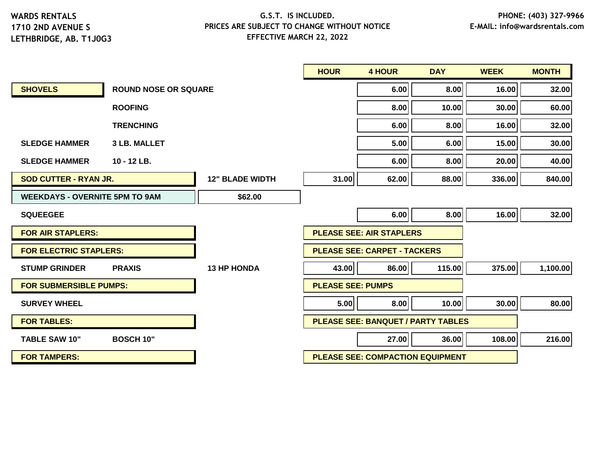|                                       |                             |                        | <b>HOUR</b>                             | <b>4 HOUR</b>                             | <b>DAY</b> | <b>WEEK</b> | <b>MONTH</b> |
|---------------------------------------|-----------------------------|------------------------|-----------------------------------------|-------------------------------------------|------------|-------------|--------------|
| <b>SHOVELS</b>                        | <b>ROUND NOSE OR SQUARE</b> |                        |                                         | 6.00                                      | 8.00       | 16.00       | 32.00        |
|                                       | <b>ROOFING</b>              |                        |                                         | 8.00                                      | 10.00      | 30.00       | 60.00        |
|                                       | <b>TRENCHING</b>            |                        |                                         | 6.00                                      | 8.00       | 16.00       | 32.00        |
| <b>SLEDGE HAMMER</b>                  | <b>3 LB. MALLET</b>         |                        |                                         | 5.00                                      | 6.00       | 15.00       | 30.00        |
| <b>SLEDGE HAMMER</b>                  | 10 - 12 LB.                 |                        |                                         | 6.00                                      | 8.00       | 20.00       | 40.00        |
| <b>SOD CUTTER - RYAN JR.</b>          |                             | <b>12" BLADE WIDTH</b> | 31.00                                   | 62.00                                     | 88.00      | 336.00      | 840.00       |
| <b>WEEKDAYS - OVERNITE 5PM TO 9AM</b> |                             | \$62.00                |                                         |                                           |            |             |              |
| <b>SQUEEGEE</b>                       |                             |                        |                                         | 6.00                                      | 8.00       | 16.00       | 32.00        |
| <b>FOR AIR STAPLERS:</b>              |                             |                        |                                         | <b>PLEASE SEE: AIR STAPLERS</b>           |            |             |              |
| <b>FOR ELECTRIC STAPLERS:</b>         |                             |                        | <b>PLEASE SEE: CARPET - TACKERS</b>     |                                           |            |             |              |
| <b>STUMP GRINDER</b>                  | <b>PRAXIS</b>               | <b>13 HP HONDA</b>     | 43.00                                   | 86.00                                     | 115.00     | 375.00      | 1,100.00     |
| <b>FOR SUBMERSIBLE PUMPS:</b>         |                             |                        | <b>PLEASE SEE: PUMPS</b>                |                                           |            |             |              |
| <b>SURVEY WHEEL</b>                   |                             |                        | 5.00                                    | 8.00                                      | 10.00      | 30.00       | 80.00        |
| <b>FOR TABLES:</b>                    |                             |                        |                                         | <b>PLEASE SEE: BANQUET / PARTY TABLES</b> |            |             |              |
| <b>TABLE SAW 10"</b>                  | <b>BOSCH 10"</b>            |                        |                                         | 27.00                                     | 36.00      | 108.00      | 216.00       |
| <b>FOR TAMPERS:</b>                   |                             |                        | <b>PLEASE SEE: COMPACTION EQUIPMENT</b> |                                           |            |             |              |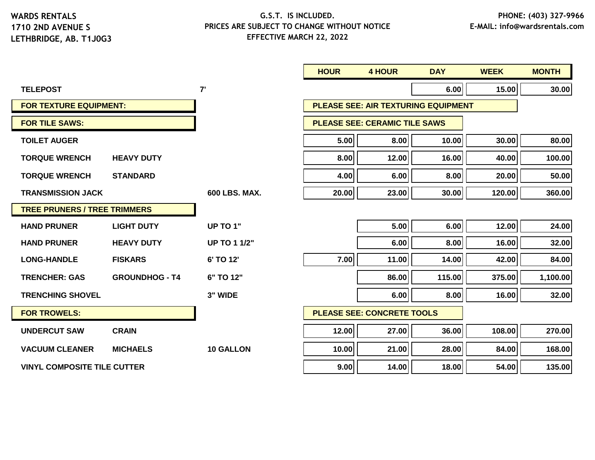|                                     |                       |                      | <b>HOUR</b> | <b>4 HOUR</b>                              | <b>DAY</b> | <b>WEEK</b> | <b>MONTH</b> |
|-------------------------------------|-----------------------|----------------------|-------------|--------------------------------------------|------------|-------------|--------------|
| <b>TELEPOST</b>                     |                       | 7'                   |             |                                            | 6.00       | 15.00       | 30.00        |
| <b>FOR TEXTURE EQUIPMENT:</b>       |                       |                      |             | <b>PLEASE SEE: AIR TEXTURING EQUIPMENT</b> |            |             |              |
| <b>FOR TILE SAWS:</b>               |                       |                      |             | <b>PLEASE SEE: CERAMIC TILE SAWS</b>       |            |             |              |
| <b>TOILET AUGER</b>                 |                       |                      | 5.00        | 8.00                                       | 10.00      | 30.00       | 80.00        |
| <b>TORQUE WRENCH</b>                | <b>HEAVY DUTY</b>     |                      | 8.00        | 12.00                                      | 16.00      | 40.00       | 100.00       |
| <b>TORQUE WRENCH</b>                | <b>STANDARD</b>       |                      | 4.00        | 6.00                                       | 8.00       | 20.00       | 50.00        |
| <b>TRANSMISSION JACK</b>            |                       | <b>600 LBS, MAX.</b> | 20.00       | 23.00                                      | 30.00      | 120.00      | 360.00       |
| <b>TREE PRUNERS / TREE TRIMMERS</b> |                       |                      |             |                                            |            |             |              |
| <b>HAND PRUNER</b>                  | <b>LIGHT DUTY</b>     | <b>UP TO 1"</b>      |             | 5.00                                       | 6.00       | 12.00       | 24.00        |
| <b>HAND PRUNER</b>                  | <b>HEAVY DUTY</b>     | <b>UP TO 1 1/2"</b>  |             | 6.00                                       | 8.00       | 16.00       | 32.00        |
| <b>LONG-HANDLE</b>                  | <b>FISKARS</b>        | 6' TO 12'            | 7.00        | 11.00                                      | 14.00      | 42.00       | 84.00        |
| <b>TRENCHER: GAS</b>                | <b>GROUNDHOG - T4</b> | 6" TO 12"            |             | 86.00                                      | 115.00     | 375.00      | 1,100.00     |
| <b>TRENCHING SHOVEL</b>             |                       | 3" WIDE              |             | 6.00                                       | 8.00       | 16.00       | 32.00        |
| <b>FOR TROWELS:</b>                 |                       |                      |             | <b>PLEASE SEE: CONCRETE TOOLS</b>          |            |             |              |
| <b>UNDERCUT SAW</b>                 | <b>CRAIN</b>          |                      | 12.00       | 27.00                                      | 36.00      | 108.00      | 270.00       |
| <b>VACUUM CLEANER</b>               | <b>MICHAELS</b>       | <b>10 GALLON</b>     | 10.00       | 21.00                                      | 28.00      | 84.00       | 168.00       |
| <b>VINYL COMPOSITE TILE CUTTER</b>  |                       |                      | 9.00        | 14.00                                      | 18.00      | 54.00       | 135.00       |